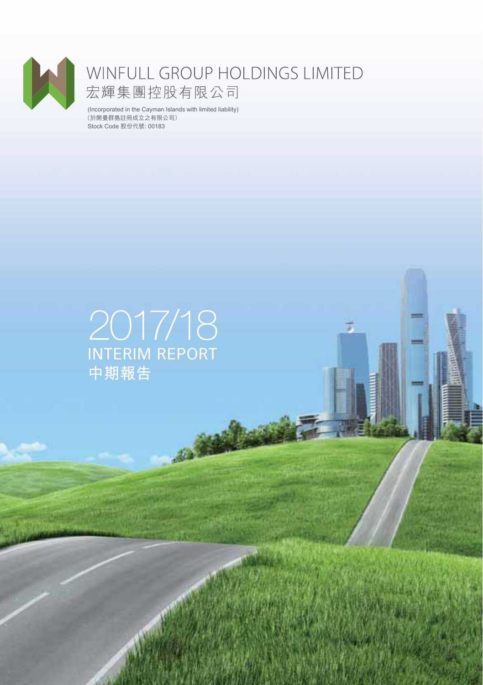

# WINFULL GROUP HOLDINGS LIMITED<br>宏輝集團控股有限公司

(Incorporated in the Cayman Islands with limited liability) Stock Code 股份代號: 00183 (於開曼群島註冊成立之有限公司)

## 2017/18 INTERIM REPORT **中期報告**

 $\overline{d}$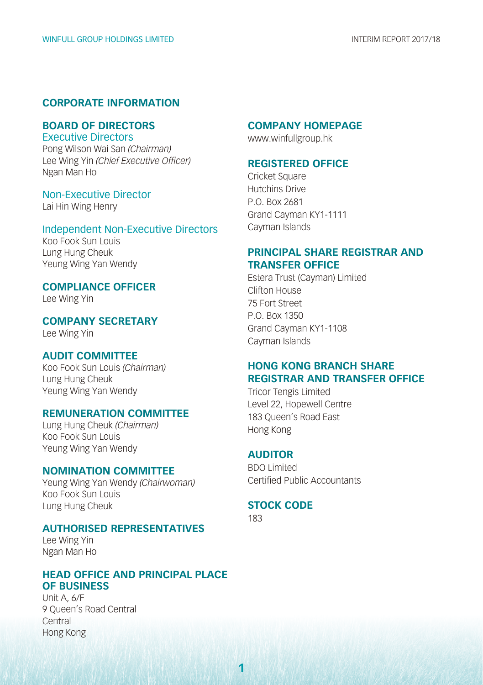#### **CORPORATE INFORMATION**

#### **BOARD OF DIRECTORS** Executive Directors

Pong Wilson Wai San *(Chairman)* Lee Wing Yin *(Chief Executive Officer)* Ngan Man Ho

#### Non-Executive Director

Lai Hin Wing Henry

#### Independent Non-Executive Directors

Koo Fook Sun Louis Lung Hung Cheuk Yeung Wing Yan Wendy

#### **COMPLIANCE OFFICER**

Lee Wing Yin

**COMPANY SECRETARY** Lee Wing Yin

#### **AUDIT COMMITTEE**

Koo Fook Sun Louis *(Chairman)* Lung Hung Cheuk Yeung Wing Yan Wendy

#### **REMUNERATION COMMITTEE**

Lung Hung Cheuk *(Chairman)* Koo Fook Sun Louis Yeung Wing Yan Wendy

#### **NOMINATION COMMITTEE**

Yeung Wing Yan Wendy *(Chairwoman)* Koo Fook Sun Louis Lung Hung Cheuk

#### **AUTHORISED REPRESENTATIVES**

Lee Wing Yin Ngan Man Ho

#### **HEAD OFFICE AND PRINCIPAL PLACE OF BUSINESS**

Unit A, 6/F 9 Queen's Road Central Central Hong Kong

#### **COMPANY HOMEPAGE**

www.winfullgroup.hk

#### **REGISTERED OFFICE**

Cricket Square Hutchins Drive P.O. Box 2681 Grand Cayman KY1-1111 Cayman Islands

#### **PRINCIPAL SHARE REGISTRAR AND TRANSFER OFFICE**

Estera Trust (Cayman) Limited Clifton House 75 Fort Street P.O. Box 1350 Grand Cayman KY1-1108 Cayman Islands

#### **HONG KONG BRANCH SHARE REGISTRAR AND TRANSFER OFFICE**

Tricor Tengis Limited Level 22, Hopewell Centre 183 Queen's Road East Hong Kong

#### **AUDITOR**

BDO Limited Certified Public Accountants

#### **STOCK CODE**

183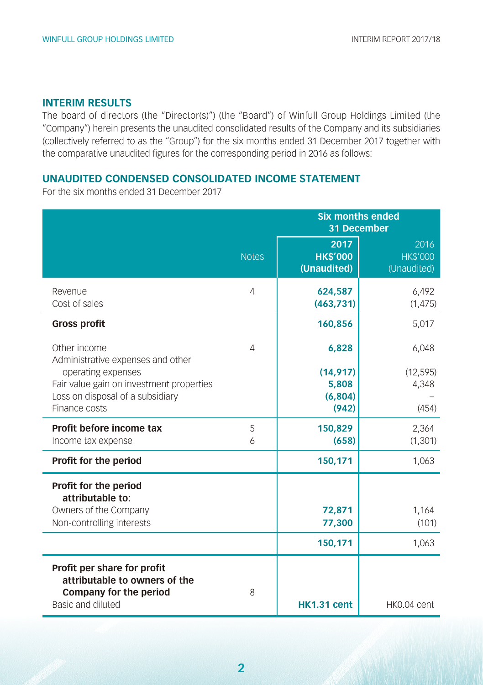#### **INTERIM RESULTS**

The board of directors (the "Director(s)") (the "Board") of Winfull Group Holdings Limited (the "Company") herein presents the unaudited consolidated results of the Company and its subsidiaries (collectively referred to as the "Group") for the six months ended 31 December 2017 together with the comparative unaudited figures for the corresponding period in 2016 as follows:

#### **UNAUDITED CONDENSED CONSOLIDATED INCOME STATEMENT**

For the six months ended 31 December 2017

|                                                                                                                     |                | <b>Six months ended</b><br>31 December |                                        |  |  |  |
|---------------------------------------------------------------------------------------------------------------------|----------------|----------------------------------------|----------------------------------------|--|--|--|
|                                                                                                                     | <b>Notes</b>   | 2017<br><b>HK\$'000</b><br>(Unaudited) | 2016<br><b>HK\$'000</b><br>(Unaudited) |  |  |  |
| Revenue<br>Cost of sales                                                                                            | Δ              | 624,587<br>(463, 731)                  | 6,492<br>(1, 475)                      |  |  |  |
| <b>Gross profit</b>                                                                                                 |                | 160,856                                | 5,017                                  |  |  |  |
| Other income<br>Administrative expenses and other                                                                   | $\overline{4}$ | 6,828                                  | 6,048                                  |  |  |  |
| operating expenses<br>Fair value gain on investment properties<br>Loss on disposal of a subsidiary<br>Finance costs |                | (14, 917)<br>5,808<br>(6,804)<br>(942) | (12, 595)<br>4,348<br>(454)            |  |  |  |
| Profit before income tax<br>Income tax expense                                                                      | 5<br>6         | 150,829<br>(658)                       | 2,364<br>(1, 301)                      |  |  |  |
| Profit for the period                                                                                               |                | 150,171                                | 1,063                                  |  |  |  |
| Profit for the period<br>attributable to:<br>Owners of the Company<br>Non-controlling interests                     |                | 72,871<br>77,300                       | 1,164<br>(101)                         |  |  |  |
|                                                                                                                     |                | 150,171                                | 1,063                                  |  |  |  |
| Profit per share for profit<br>attributable to owners of the<br><b>Company for the period</b><br>Basic and diluted  | 8              | <b>HK1.31 cent</b>                     | HK0.04 cent                            |  |  |  |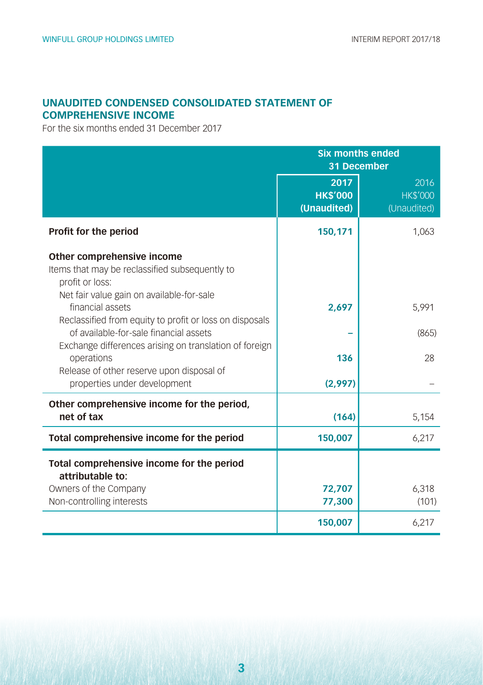#### **UNAUDITED CONDENSED CONSOLIDATED STATEMENT OF COMPREHENSIVE INCOME**

For the six months ended 31 December 2017

|                                                                                                                                              | <b>Six months ended</b><br>31 December |                                                     |  |  |
|----------------------------------------------------------------------------------------------------------------------------------------------|----------------------------------------|-----------------------------------------------------|--|--|
|                                                                                                                                              | 2017<br><b>HK\$'000</b><br>(Unaudited) | $\overline{2016}$<br><b>HK\$'000</b><br>(Unaudited) |  |  |
| Profit for the period                                                                                                                        | 150,171                                | 1,063                                               |  |  |
| Other comprehensive income<br>Items that may be reclassified subsequently to<br>profit or loss:<br>Net fair value gain on available-for-sale |                                        |                                                     |  |  |
| financial assets<br>Reclassified from equity to profit or loss on disposals                                                                  | 2,697                                  | 5,991                                               |  |  |
| of available-for-sale financial assets<br>Exchange differences arising on translation of foreign                                             |                                        | (865)                                               |  |  |
| operations<br>Release of other reserve upon disposal of                                                                                      | 136                                    | 28                                                  |  |  |
| properties under development                                                                                                                 | (2,997)                                |                                                     |  |  |
| Other comprehensive income for the period,<br>net of tax                                                                                     | (164)                                  | 5,154                                               |  |  |
| Total comprehensive income for the period                                                                                                    | 150,007                                | 6,217                                               |  |  |
| Total comprehensive income for the period<br>attributable to:                                                                                |                                        |                                                     |  |  |
| Owners of the Company<br>Non-controlling interests                                                                                           | 72,707<br>77,300                       | 6,318<br>(101)                                      |  |  |
|                                                                                                                                              | 150,007                                | 6,217                                               |  |  |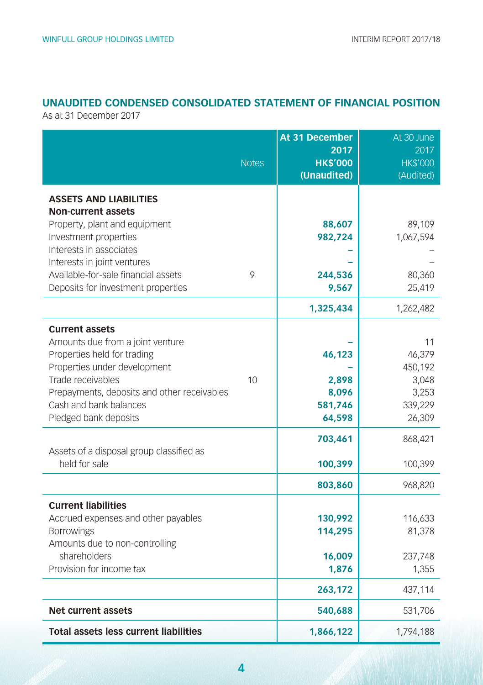#### **UNAUDITED CONDENSED CONSOLIDATED STATEMENT OF FINANCIAL POSITION**

As at 31 December 2017

|                                                                                                                                                                                                                                                             | <b>Notes</b> | At 31 December<br>2017<br><b>HK\$'000</b><br>(Unaudited) | At 30 June<br>2017<br><b>HK\$'000</b><br>(Audited)             |
|-------------------------------------------------------------------------------------------------------------------------------------------------------------------------------------------------------------------------------------------------------------|--------------|----------------------------------------------------------|----------------------------------------------------------------|
| <b>ASSETS AND LIABILITIES</b><br><b>Non-current assets</b><br>Property, plant and equipment<br>Investment properties<br>Interests in associates<br>Interests in joint ventures<br>Available-for-sale financial assets<br>Deposits for investment properties | 9            | 88,607<br>982,724<br>244,536<br>9,567<br>1,325,434       | 89,109<br>1,067,594<br>80,360<br>25,419<br>1,262,482           |
| <b>Current assets</b><br>Amounts due from a joint venture<br>Properties held for trading<br>Properties under development<br>Trade receivables<br>Prepayments, deposits and other receivables<br>Cash and bank balances<br>Pledged bank deposits             | 10           | 46,123<br>2,898<br>8,096<br>581,746<br>64,598            | 11<br>46,379<br>450,192<br>3,048<br>3,253<br>339,229<br>26,309 |
| Assets of a disposal group classified as<br>held for sale                                                                                                                                                                                                   |              | 703,461<br>100,399                                       | 868,421<br>100,399                                             |
| <b>Current liabilities</b><br>Accrued expenses and other payables<br><b>Borrowings</b><br>Amounts due to non-controlling<br>shareholders<br>Provision for income tax                                                                                        |              | 803,860<br>130,992<br>114,295<br>16,009<br>1,876         | 968,820<br>116,633<br>81,378<br>237,748<br>1,355               |
| <b>Net current assets</b>                                                                                                                                                                                                                                   |              | 263,172<br>540,688                                       | 437,114<br>531,706                                             |
| <b>Total assets less current liabilities</b>                                                                                                                                                                                                                |              | 1,866,122                                                | 1,794,188                                                      |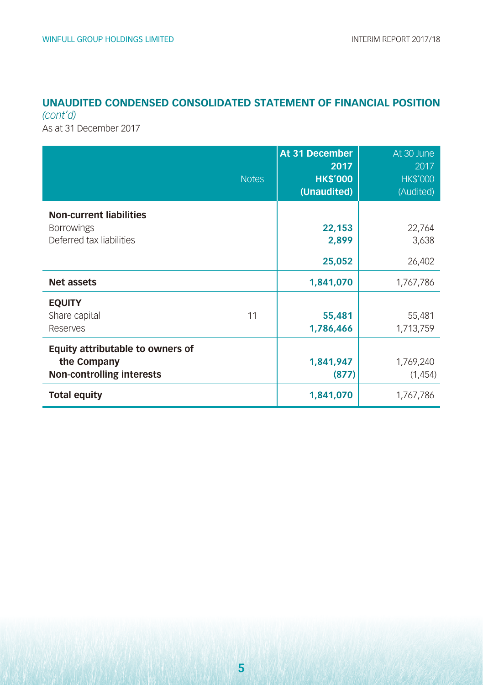#### **UNAUDITED CONDENSED CONSOLIDATED STATEMENT OF FINANCIAL POSITION**  *(cont'd)*

As at 31 December 2017

| <b>Notes</b>                                                                        | At 31 December<br>2017<br><b>HK\$'000</b><br>(Unaudited) | At 30 June<br>2017<br><b>HK\$'000</b><br>(Audited) |
|-------------------------------------------------------------------------------------|----------------------------------------------------------|----------------------------------------------------|
| <b>Non-current liabilities</b><br><b>Borrowings</b><br>Deferred tax liabilities     | 22,153<br>2,899                                          | 22,764<br>3,638                                    |
|                                                                                     | 25,052                                                   | 26,402                                             |
| <b>Net assets</b>                                                                   | 1,841,070                                                | 1,767,786                                          |
| <b>EQUITY</b><br>Share capital<br>11<br>Reserves                                    | 55,481<br>1,786,466                                      | 55,481<br>1,713,759                                |
| Equity attributable to owners of<br>the Company<br><b>Non-controlling interests</b> | 1,841,947<br>(877)                                       | 1,769,240<br>(1,454)                               |
| <b>Total equity</b>                                                                 | 1,841,070                                                | 1,767,786                                          |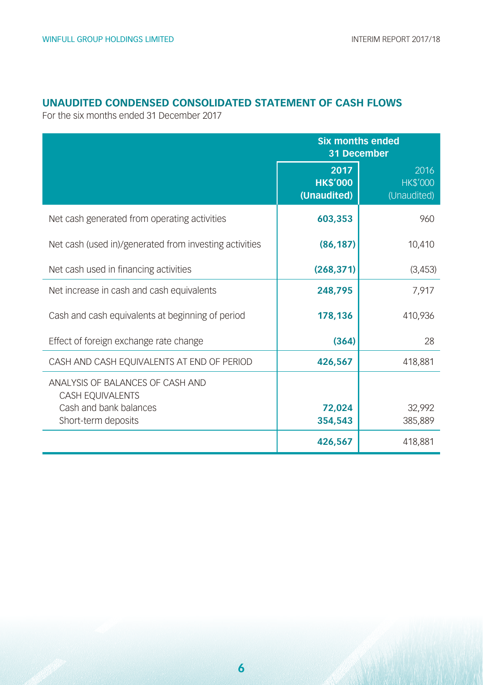#### **UNAUDITED CONDENSED CONSOLIDATED STATEMENT OF CASH FLOWS**

For the six months ended 31 December 2017

|                                                        | <b>Six months ended</b><br>31 December |                                        |  |  |
|--------------------------------------------------------|----------------------------------------|----------------------------------------|--|--|
|                                                        | 2017<br><b>HK\$'000</b><br>(Unaudited) | 2016<br><b>HK\$'000</b><br>(Unaudited) |  |  |
| Net cash generated from operating activities           | 603,353                                | 960                                    |  |  |
| Net cash (used in)/generated from investing activities | (86, 187)                              | 10,410                                 |  |  |
| Net cash used in financing activities                  | (268, 371)                             | (3,453)                                |  |  |
| Net increase in cash and cash equivalents              | 248,795                                | 7.917                                  |  |  |
| Cash and cash equivalents at beginning of period       | 178,136                                | 410.936                                |  |  |
| Effect of foreign exchange rate change                 | (364)                                  | 28                                     |  |  |
| CASH AND CASH EQUIVALENTS AT END OF PERIOD             | 426,567                                | 418,881                                |  |  |
| ANALYSIS OF BALANCES OF CASH AND<br>CASH EQUIVALENTS   |                                        |                                        |  |  |
| Cash and bank balances<br>Short-term deposits          | 72,024<br>354,543                      | 32,992<br>385,889                      |  |  |
|                                                        | 426,567                                | 418,881                                |  |  |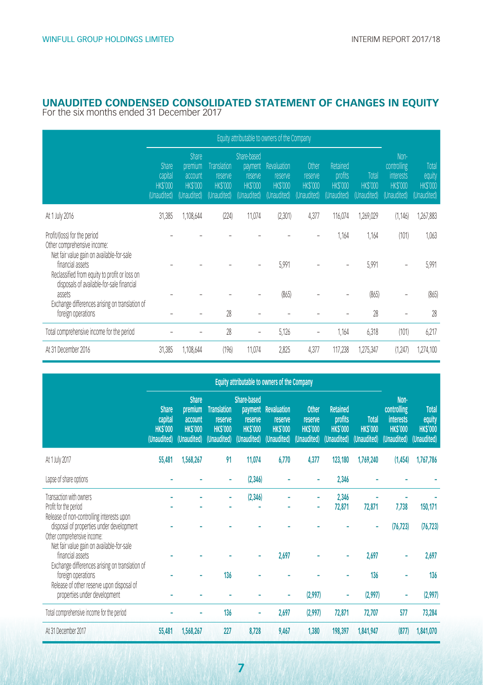### **UNAUDITED CONDENSED CONSOLIDATED STATEMENT OF CHANGES IN EQUITY** For the six months ended 31 December 2017

|                                                                                                                                                             | Equity attributable to owners of the Company             |                                                                     |                                                                |                                                                    |                                                         |                                                   |                                                      |                                        |                                                                          |                                                  |
|-------------------------------------------------------------------------------------------------------------------------------------------------------------|----------------------------------------------------------|---------------------------------------------------------------------|----------------------------------------------------------------|--------------------------------------------------------------------|---------------------------------------------------------|---------------------------------------------------|------------------------------------------------------|----------------------------------------|--------------------------------------------------------------------------|--------------------------------------------------|
|                                                                                                                                                             | <b>Share</b><br>capital<br><b>HKS'000</b><br>(Unaudited) | <b>Share</b><br>premium<br>account<br><b>HKS'000</b><br>(Unaudited) | <b>Translation</b><br>reserve<br><b>HKS'000</b><br>(Unaudited) | Share-based<br>payment<br>reserve<br><b>HKS'000</b><br>(Unaudited) | Revaluation<br>reserve<br><b>HKS'000</b><br>(Unaudited) | Other<br>reserve<br><b>HKS'000</b><br>(Unaudited) | Retained<br>profits<br><b>HKS'000</b><br>(Unaudited) | Total<br><b>HKS'000</b><br>(Unaudited) | Non-<br>controlling<br><i>interests</i><br><b>HKS'000</b><br>(Unaudited) | Total<br>equity<br><b>HKS'000</b><br>(Unaudited) |
| At 1 July 2016                                                                                                                                              | 31,385                                                   | 1,108,644                                                           | (224)                                                          | 11,074                                                             | (2,301)                                                 | 4,377                                             | 116,074                                              | 1,269,029                              | (1, 146)                                                                 | 1,267,883                                        |
| Profit/(loss) for the period<br>Other comprehensive income:                                                                                                 |                                                          |                                                                     |                                                                |                                                                    |                                                         |                                                   | 1,164                                                | 1,164                                  | (101)                                                                    | 1,063                                            |
| Net fair value gain on available-for-sale<br>financial assets<br>Reclassified from equity to profit or loss on<br>disposals of available-for-sale financial |                                                          |                                                                     |                                                                |                                                                    | 5,991                                                   |                                                   |                                                      | 5,991                                  |                                                                          | 5,991                                            |
| assets<br>Exchange differences arising on translation of                                                                                                    |                                                          |                                                                     |                                                                |                                                                    | (865)                                                   |                                                   |                                                      | (865)                                  |                                                                          | (865)                                            |
| foreign operations                                                                                                                                          |                                                          |                                                                     | 28                                                             |                                                                    |                                                         |                                                   |                                                      | 28                                     |                                                                          | 28                                               |
| Total comprehensive income for the period                                                                                                                   |                                                          |                                                                     | 28                                                             |                                                                    | 5,126                                                   |                                                   | 1,164                                                | 6,318                                  | (101)                                                                    | 6,217                                            |
| At 31 December 2016                                                                                                                                         | 31,385                                                   | 1,108,644                                                           | (196)                                                          | 11.074                                                             | 2,825                                                   | 4,377                                             | 117,238                                              | 1,275,347                              | (1,247)                                                                  | 1,274,100                                        |

|                                                                                                                                                                      | Equity attributable to owners of the Company             |                                                                     |                                                         |                                                                           |                                                         |                                                          |                                                             |                                               |                                                                          |                                                         |
|----------------------------------------------------------------------------------------------------------------------------------------------------------------------|----------------------------------------------------------|---------------------------------------------------------------------|---------------------------------------------------------|---------------------------------------------------------------------------|---------------------------------------------------------|----------------------------------------------------------|-------------------------------------------------------------|-----------------------------------------------|--------------------------------------------------------------------------|---------------------------------------------------------|
|                                                                                                                                                                      | <b>Share</b><br>capital<br><b>HKS'000</b><br>(Unaudited) | <b>Share</b><br>premium<br>account<br><b>HKS'000</b><br>(Unaudited) | Translation<br>reserve<br><b>HKS'000</b><br>(Unaudited) | <b>Share-based</b><br>payment<br>reserve<br><b>HKS'000</b><br>(Unaudited) | Revaluation<br>reserve<br><b>HKS'000</b><br>(Unaudited) | <b>Other</b><br>reserve<br><b>HKS'000</b><br>(Unaudited) | <b>Retained</b><br>profits<br><b>HKS'000</b><br>(Unaudited) | <b>Total</b><br><b>HKS'000</b><br>(Unaudited) | Non-<br>controlling<br><b>interests</b><br><b>HKS'000</b><br>(Unaudited) | <b>Total</b><br>equity<br><b>HKS'000</b><br>(Unaudited) |
| At 1 July 2017                                                                                                                                                       | 55,481                                                   | 1,568,267                                                           | 91                                                      | 11,074                                                                    | 6,770                                                   | 4,377                                                    | 123,180                                                     | 1,769,240                                     | (1,454)                                                                  | 1,767,786                                               |
| Lapse of share options                                                                                                                                               |                                                          |                                                                     |                                                         | (2,346)                                                                   |                                                         |                                                          | 2,346                                                       |                                               |                                                                          |                                                         |
| Transaction with owners<br>Profit for the period<br>Release of non-controlling interests upon<br>disposal of properties under development                            |                                                          |                                                                     |                                                         | (2,346)                                                                   |                                                         |                                                          | 2,346<br>72,871                                             | 72,871                                        | 7,738<br>(76, 723)                                                       | 150,171<br>(76, 723)                                    |
| Other comprehensive income:<br>Net fair value gain on available-for-sale<br>financial assets<br>Exchange differences arising on translation of<br>foreign operations |                                                          |                                                                     | 136                                                     |                                                                           | 2.697                                                   |                                                          |                                                             | 2,697<br>136                                  |                                                                          | 2,697<br>136                                            |
| Release of other reserve upon disposal of<br>properties under development                                                                                            |                                                          |                                                                     |                                                         |                                                                           |                                                         | (2,997)                                                  | ۰                                                           | (2,997)                                       |                                                                          | (2,997)                                                 |
| Total comprehensive income for the period                                                                                                                            |                                                          |                                                                     | 136                                                     |                                                                           | 2,697                                                   | (2,997)                                                  | 72,871                                                      | 72,707                                        | 577                                                                      | 73,284                                                  |
| At 31 December 2017                                                                                                                                                  | 55,481                                                   | 1,568,267                                                           | 227                                                     | 8,728                                                                     | 9,467                                                   | 1,380                                                    | 198,397                                                     | 1,841,947                                     | (877)                                                                    | 1,841,070                                               |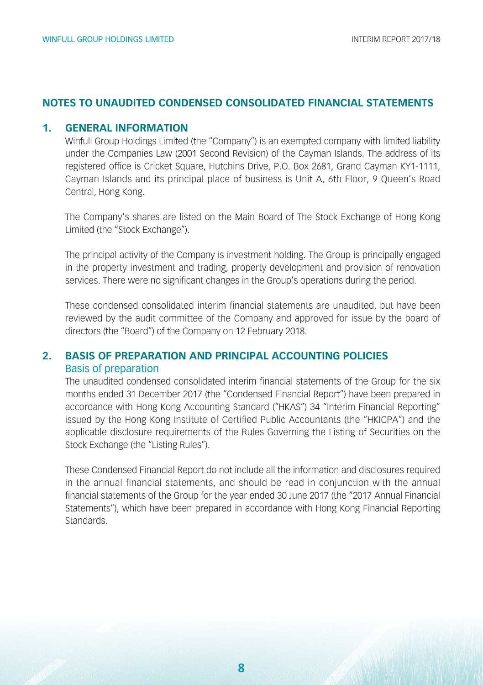#### **NOTES TO UNAUDITED CONDENSED CONSOLIDATED FINANCIAL STATEMENTS**

#### **1. GENERAL INFORMATION**

Winfull Group Holdings Limited (the "Company") is an exempted company with limited liability under the Companies Law (2001 Second Revision) of the Cayman Islands. The address of its registered office is Cricket Square, Hutchins Drive, P.O. Box 2681, Grand Cayman KY1-1111, Cayman Islands and its principal place of business is Unit A, 6th Floor, 9 Queen's Road Central, Hong Kong.

The Company's shares are listed on the Main Board of The Stock Exchange of Hong Kong Limited (the "Stock Exchange").

The principal activity of the Company is investment holding. The Group is principally engaged in the property investment and trading, property development and provision of renovation services. There were no significant changes in the Group's operations during the period.

These condensed consolidated interim financial statements are unaudited, but have been reviewed by the audit committee of the Company and approved for issue by the board of directors (the "Board") of the Company on 12 February 2018.

#### **2. BASIS OF PREPARATION AND PRINCIPAL ACCOUNTING POLICIES** Basis of preparation

The unaudited condensed consolidated interim financial statements of the Group for the six months ended 31 December 2017 (the "Condensed Financial Report") have been prepared in accordance with Hong Kong Accounting Standard ("HKAS") 34 "Interim Financial Reporting" issued by the Hong Kong Institute of Certified Public Accountants (the "HKICPA") and the applicable disclosure requirements of the Rules Governing the Listing of Securities on the Stock Exchange (the "Listing Rules").

These Condensed Financial Report do not include all the information and disclosures required in the annual financial statements, and should be read in conjunction with the annual financial statements of the Group for the year ended 30 June 2017 (the "2017 Annual Financial Statements"), which have been prepared in accordance with Hong Kong Financial Reporting **Standards**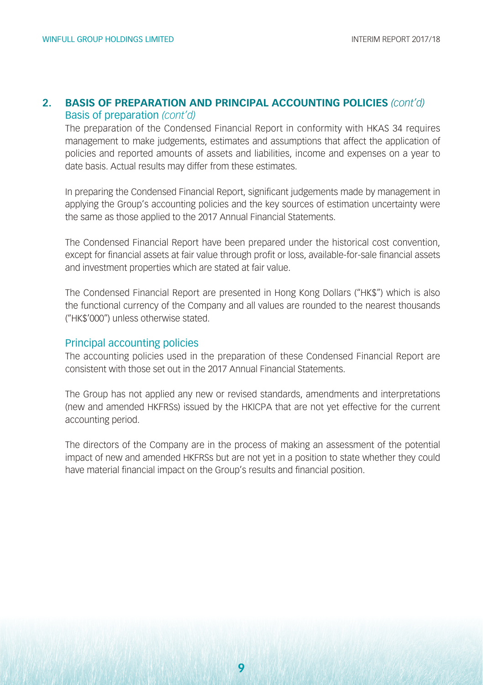#### **2. BASIS OF PREPARATION AND PRINCIPAL ACCOUNTING POLICIES** *(cont'd)* Basis of preparation *(cont'd)*

The preparation of the Condensed Financial Report in conformity with HKAS 34 requires management to make judgements, estimates and assumptions that affect the application of policies and reported amounts of assets and liabilities, income and expenses on a year to date basis. Actual results may differ from these estimates.

In preparing the Condensed Financial Report, significant judgements made by management in applying the Group's accounting policies and the key sources of estimation uncertainty were the same as those applied to the 2017 Annual Financial Statements.

The Condensed Financial Report have been prepared under the historical cost convention, except for financial assets at fair value through profit or loss, available-for-sale financial assets and investment properties which are stated at fair value.

The Condensed Financial Report are presented in Hong Kong Dollars ("HK\$") which is also the functional currency of the Company and all values are rounded to the nearest thousands ("HK\$'000") unless otherwise stated.

#### Principal accounting policies

The accounting policies used in the preparation of these Condensed Financial Report are consistent with those set out in the 2017 Annual Financial Statements.

The Group has not applied any new or revised standards, amendments and interpretations (new and amended HKFRSs) issued by the HKICPA that are not yet effective for the current accounting period.

The directors of the Company are in the process of making an assessment of the potential impact of new and amended HKFRSs but are not yet in a position to state whether they could have material financial impact on the Group's results and financial position.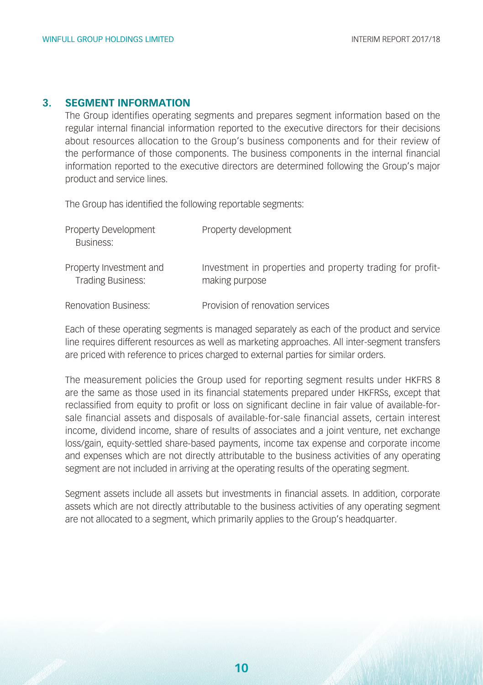#### **3. SEGMENT INFORMATION**

The Group identifies operating segments and prepares segment information based on the regular internal financial information reported to the executive directors for their decisions about resources allocation to the Group's business components and for their review of the performance of those components. The business components in the internal financial information reported to the executive directors are determined following the Group's major product and service lines.

The Group has identified the following reportable segments:

| Property Development<br>Business:                   | Property development                                                        |
|-----------------------------------------------------|-----------------------------------------------------------------------------|
| Property Investment and<br><b>Trading Business:</b> | Investment in properties and property trading for profit-<br>making purpose |
| <b>Renovation Business:</b>                         | Provision of renovation services                                            |

Each of these operating segments is managed separately as each of the product and service line requires different resources as well as marketing approaches. All inter-segment transfers are priced with reference to prices charged to external parties for similar orders.

The measurement policies the Group used for reporting segment results under HKFRS 8 are the same as those used in its financial statements prepared under HKFRSs, except that reclassified from equity to profit or loss on significant decline in fair value of available-forsale financial assets and disposals of available-for-sale financial assets, certain interest income, dividend income, share of results of associates and a joint venture, net exchange loss/gain, equity-settled share-based payments, income tax expense and corporate income and expenses which are not directly attributable to the business activities of any operating segment are not included in arriving at the operating results of the operating segment.

Segment assets include all assets but investments in financial assets. In addition, corporate assets which are not directly attributable to the business activities of any operating segment are not allocated to a segment, which primarily applies to the Group's headquarter.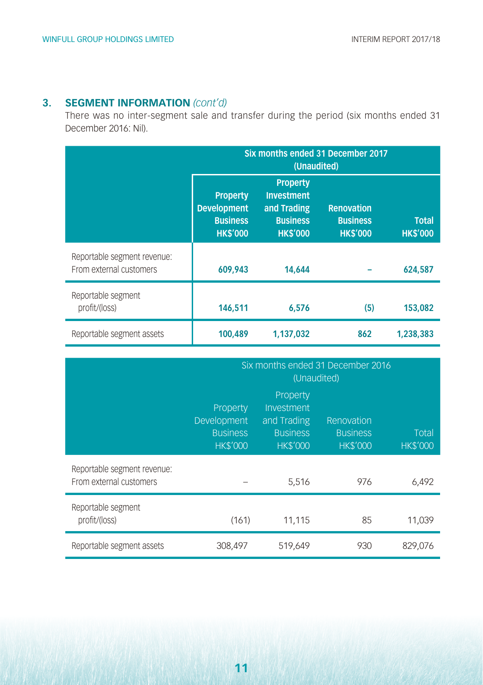#### **3. SEGMENT INFORMATION** *(cont'd)*

There was no inter-segment sale and transfer during the period (six months ended 31 December 2016: Nil).

|                                                        | Six months ended 31 December 2017<br>(Unaudited)                            |                                                                                          |                                                  |                                 |  |  |
|--------------------------------------------------------|-----------------------------------------------------------------------------|------------------------------------------------------------------------------------------|--------------------------------------------------|---------------------------------|--|--|
|                                                        | <b>Property</b><br><b>Development</b><br><b>Business</b><br><b>HK\$'000</b> | <b>Property</b><br><b>Investment</b><br>and Trading<br><b>Business</b><br><b>HKS'000</b> | Renovation<br><b>Business</b><br><b>HK\$'000</b> | <b>Total</b><br><b>HK\$'000</b> |  |  |
| Reportable segment revenue:<br>From external customers | 609.943                                                                     | 14,644                                                                                   |                                                  | 624,587                         |  |  |
| Reportable segment<br>profit/(loss)                    | 146,511                                                                     | 6,576                                                                                    | (5)                                              | 153,082                         |  |  |
| Reportable segment assets                              | 100,489                                                                     | 1.137.032                                                                                | 862                                              | 1.238.383                       |  |  |

|                                                        | Six months ended 31 December 2016<br>(Unaudited)              |                                                                             |                                                  |                          |  |  |
|--------------------------------------------------------|---------------------------------------------------------------|-----------------------------------------------------------------------------|--------------------------------------------------|--------------------------|--|--|
|                                                        | Property<br>Development<br><b>Business</b><br><b>HK\$'000</b> | Property<br>Investment<br>and Trading<br><b>Business</b><br><b>HK\$'000</b> | Renovation<br><b>Business</b><br><b>HK\$'000</b> | Total<br><b>HK\$'000</b> |  |  |
| Reportable segment revenue:<br>From external customers |                                                               | 5,516                                                                       | 976                                              | 6,492                    |  |  |
| Reportable segment<br>profit/(loss)                    | (161)                                                         | 11,115                                                                      | 85                                               | 11,039                   |  |  |
| Reportable segment assets                              | 308,497                                                       | 519,649                                                                     | 930                                              | 829,076                  |  |  |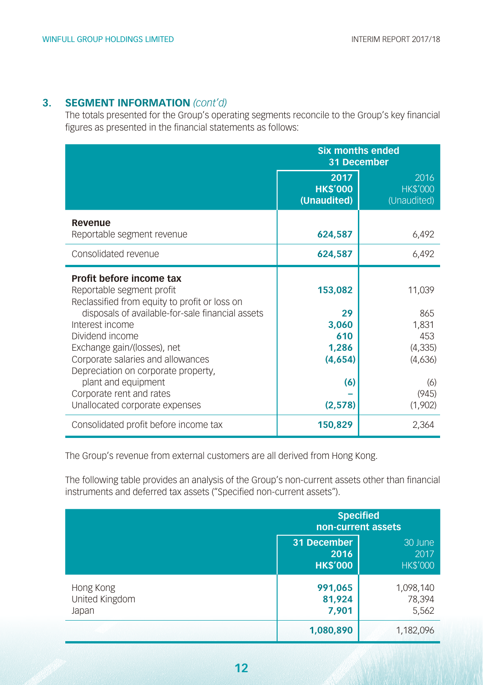#### **3. SEGMENT INFORMATION** *(cont'd)*

The totals presented for the Group's operating segments reconcile to the Group's key financial figures as presented in the financial statements as follows:

|                                                                                                                                                                                                                                                                                                                                                                                                  | <b>Six months ended</b><br>31 December                              |                                                                                 |  |  |
|--------------------------------------------------------------------------------------------------------------------------------------------------------------------------------------------------------------------------------------------------------------------------------------------------------------------------------------------------------------------------------------------------|---------------------------------------------------------------------|---------------------------------------------------------------------------------|--|--|
|                                                                                                                                                                                                                                                                                                                                                                                                  | 2017<br><b>HK\$'000</b><br>(Unaudited)                              | 2016<br><b>HK\$'000</b><br>(Unaudited)                                          |  |  |
| Revenue<br>Reportable segment revenue                                                                                                                                                                                                                                                                                                                                                            | 624,587                                                             | 6,492                                                                           |  |  |
| Consolidated revenue                                                                                                                                                                                                                                                                                                                                                                             | 624,587                                                             | 6,492                                                                           |  |  |
| Profit before income tax<br>Reportable segment profit<br>Reclassified from equity to profit or loss on<br>disposals of available-for-sale financial assets<br>Interest income<br>Dividend income<br>Exchange gain/(losses), net<br>Corporate salaries and allowances<br>Depreciation on corporate property,<br>plant and equipment<br>Corporate rent and rates<br>Unallocated corporate expenses | 153,082<br>29<br>3,060<br>610<br>1,286<br>(4,654)<br>(6)<br>(2,578) | 11,039<br>865<br>1,831<br>453<br>(4, 335)<br>(4,636)<br>(6)<br>(945)<br>(1,902) |  |  |
| Consolidated profit before income tax                                                                                                                                                                                                                                                                                                                                                            | 150,829                                                             | 2,364                                                                           |  |  |

The Group's revenue from external customers are all derived from Hong Kong.

The following table provides an analysis of the Group's non-current assets other than financial instruments and deferred tax assets ("Specified non-current assets").

|                                      |                                        | <b>Specified</b><br>non-current assets |
|--------------------------------------|----------------------------------------|----------------------------------------|
|                                      | 31 December<br>2016<br><b>HK\$'000</b> | 30 June<br>2017<br><b>HK\$'000</b>     |
| Hong Kong<br>United Kingdom<br>Japan | 991,065<br>81,924<br>7.901             | 1,098,140<br>78,394<br>5,562           |
|                                      | 1,080,890                              | 1,182,096                              |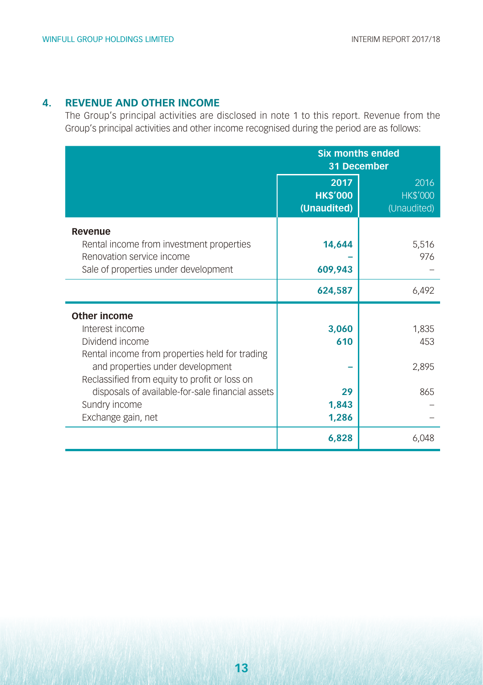#### **4. REVENUE AND OTHER INCOME**

The Group's principal activities are disclosed in note 1 to this report. Revenue from the Group's principal activities and other income recognised during the period are as follows:

|                                                                                                                                                                                                                                                                                      | <b>Six months ended</b><br>31 December |                                        |  |
|--------------------------------------------------------------------------------------------------------------------------------------------------------------------------------------------------------------------------------------------------------------------------------------|----------------------------------------|----------------------------------------|--|
|                                                                                                                                                                                                                                                                                      | 2017<br><b>HK\$'000</b><br>(Unaudited) | 2016<br><b>HK\$'000</b><br>(Unaudited) |  |
| Revenue<br>Rental income from investment properties<br>Renovation service income<br>Sale of properties under development                                                                                                                                                             | 14,644<br>609,943                      | 5,516<br>976                           |  |
|                                                                                                                                                                                                                                                                                      | 624,587                                | 6,492                                  |  |
| Other income<br>Interest income<br>Dividend income<br>Rental income from properties held for trading<br>and properties under development<br>Reclassified from equity to profit or loss on<br>disposals of available-for-sale financial assets<br>Sundry income<br>Exchange gain, net | 3,060<br>610<br>29<br>1,843<br>1,286   | 1,835<br>453<br>2,895<br>865           |  |
|                                                                                                                                                                                                                                                                                      | 6,828                                  | 6.048                                  |  |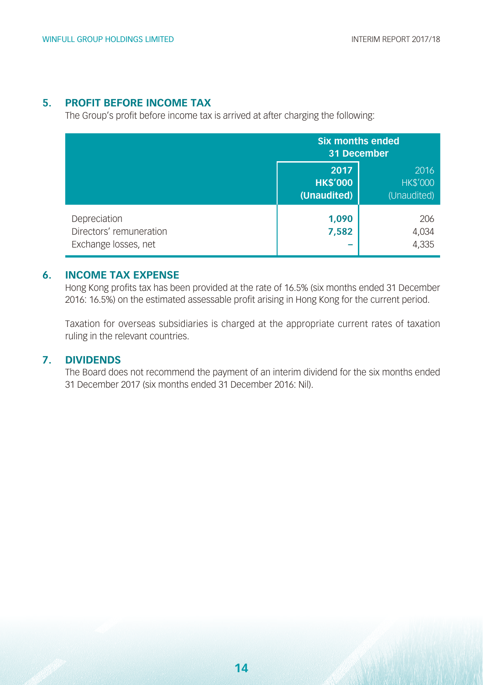#### **5. PROFIT BEFORE INCOME TAX**

The Group's profit before income tax is arrived at after charging the following:

|                                                                 | <b>Six months ended</b><br>31 December                                           |                       |  |
|-----------------------------------------------------------------|----------------------------------------------------------------------------------|-----------------------|--|
|                                                                 | 2017<br>2016<br><b>HK\$'000</b><br><b>HK\$'000</b><br>(Unaudited)<br>(Unaudited) |                       |  |
| Depreciation<br>Directors' remuneration<br>Exchange losses, net | 1,090<br>7,582                                                                   | 206<br>4,034<br>4,335 |  |

#### **6. INCOME TAX EXPENSE**

Hong Kong profits tax has been provided at the rate of 16.5% (six months ended 31 December 2016: 16.5%) on the estimated assessable profit arising in Hong Kong for the current period.

Taxation for overseas subsidiaries is charged at the appropriate current rates of taxation ruling in the relevant countries.

#### **7. DIVIDENDS**

The Board does not recommend the payment of an interim dividend for the six months ended 31 December 2017 (six months ended 31 December 2016: Nil).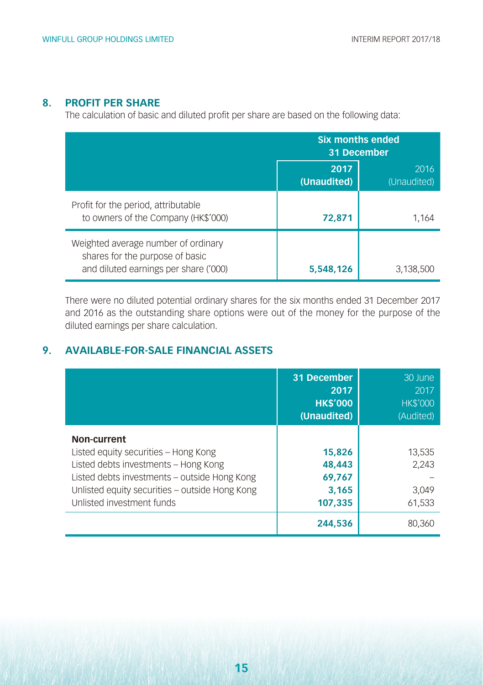#### **8. PROFIT PER SHARE**

The calculation of basic and diluted profit per share are based on the following data:

|                                                                                                                 | <b>Six months ended</b><br>31 December |                     |  |
|-----------------------------------------------------------------------------------------------------------------|----------------------------------------|---------------------|--|
|                                                                                                                 | 2017<br>(Unaudited)                    | 2016<br>(Unaudited) |  |
| Profit for the period, attributable<br>to owners of the Company (HK\$'000)                                      | 72,871                                 | 1,164               |  |
| Weighted average number of ordinary<br>shares for the purpose of basic<br>and diluted earnings per share ('000) | 5,548,126                              | 3,138,500           |  |

There were no diluted potential ordinary shares for the six months ended 31 December 2017 and 2016 as the outstanding share options were out of the money for the purpose of the diluted earnings per share calculation.

#### **9. AVAILABLE-FOR-SALE FINANCIAL ASSETS**

|                                                                                                                                                                                                                            | 31 December<br>2017<br><b>HK\$'000</b><br>(Unaudited)     | 30 June<br>2017<br><b>HK\$'000</b><br>(Audited) |
|----------------------------------------------------------------------------------------------------------------------------------------------------------------------------------------------------------------------------|-----------------------------------------------------------|-------------------------------------------------|
| Non-current<br>Listed equity securities - Hong Kong<br>Listed debts investments - Hong Kong<br>Listed debts investments - outside Hong Kong<br>Unlisted equity securities - outside Hong Kong<br>Unlisted investment funds | 15,826<br>48,443<br>69,767<br>3.165<br>107.335<br>244,536 | 13,535<br>2,243<br>3.049<br>61.533<br>80.360    |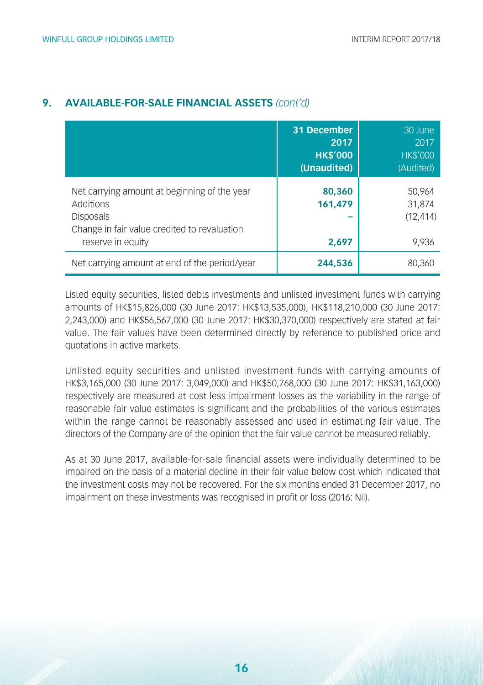|                                                                                                                                                    | 31 December<br>2017<br><b>HK\$'000</b><br>(Unaudited) | 30 June<br>2017<br><b>HK\$'000</b><br>(Audited) |
|----------------------------------------------------------------------------------------------------------------------------------------------------|-------------------------------------------------------|-------------------------------------------------|
| Net carrying amount at beginning of the year<br>Additions<br><b>Disposals</b><br>Change in fair value credited to revaluation<br>reserve in equity | 80,360<br>161,479<br>2,697                            | 50.964<br>31,874<br>(12, 414)<br>9,936          |
| Net carrying amount at end of the period/year                                                                                                      | 244,536                                               | 80,360                                          |

#### **9. AVAILABLE-FOR-SALE FINANCIAL ASSETS** *(cont'd)*

Listed equity securities, listed debts investments and unlisted investment funds with carrying amounts of HK\$15,826,000 (30 June 2017: HK\$13,535,000), HK\$118,210,000 (30 June 2017: 2,243,000) and HK\$56,567,000 (30 June 2017: HK\$30,370,000) respectively are stated at fair value. The fair values have been determined directly by reference to published price and quotations in active markets.

Unlisted equity securities and unlisted investment funds with carrying amounts of HK\$3,165,000 (30 June 2017: 3,049,000) and HK\$50,768,000 (30 June 2017: HK\$31,163,000) respectively are measured at cost less impairment losses as the variability in the range of reasonable fair value estimates is significant and the probabilities of the various estimates within the range cannot be reasonably assessed and used in estimating fair value. The directors of the Company are of the opinion that the fair value cannot be measured reliably.

As at 30 June 2017, available-for-sale financial assets were individually determined to be impaired on the basis of a material decline in their fair value below cost which indicated that the investment costs may not be recovered. For the six months ended 31 December 2017, no impairment on these investments was recognised in profit or loss (2016: Nil).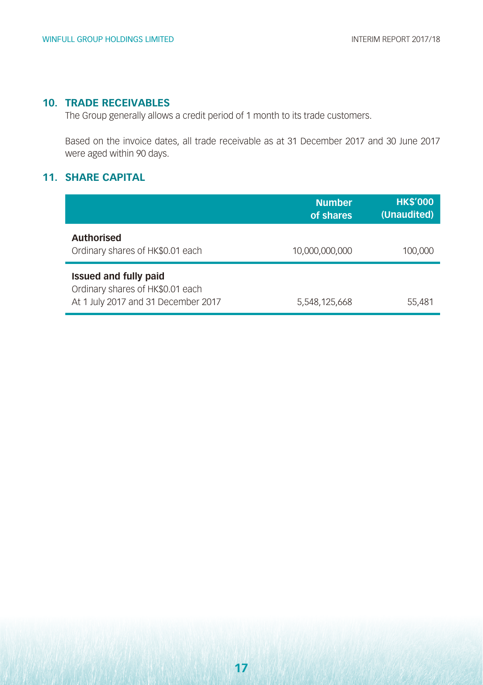#### **10. TRADE RECEIVABLES**

The Group generally allows a credit period of 1 month to its trade customers.

Based on the invoice dates, all trade receivable as at 31 December 2017 and 30 June 2017 were aged within 90 days.

#### **11. SHARE CAPITAL**

|                                                                                                  | <b>Number</b><br>of shares | <b>HK\$'000</b><br>(Unaudited) |
|--------------------------------------------------------------------------------------------------|----------------------------|--------------------------------|
| <b>Authorised</b><br>Ordinary shares of HK\$0.01 each                                            | 10,000,000,000             | 100,000                        |
| Issued and fully paid<br>Ordinary shares of HK\$0.01 each<br>At 1 July 2017 and 31 December 2017 | 5,548,125,668              | 55,481                         |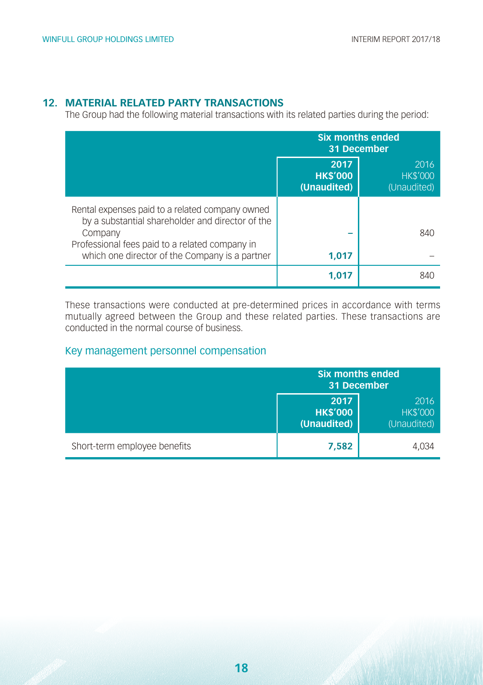#### **12. MATERIAL RELATED PARTY TRANSACTIONS**

The Group had the following material transactions with its related parties during the period:

|                                                                                                                                                                                                                    | <b>Six months ended</b><br>31 December |                                        |  |
|--------------------------------------------------------------------------------------------------------------------------------------------------------------------------------------------------------------------|----------------------------------------|----------------------------------------|--|
|                                                                                                                                                                                                                    | 2017<br><b>HK\$'000</b><br>(Unaudited) | 2016<br><b>HK\$'000</b><br>(Unaudited) |  |
| Rental expenses paid to a related company owned<br>by a substantial shareholder and director of the<br>Company<br>Professional fees paid to a related company in<br>which one director of the Company is a partner | 1.017                                  | 840                                    |  |
|                                                                                                                                                                                                                    | 1.017                                  | 840                                    |  |

These transactions were conducted at pre-determined prices in accordance with terms mutually agreed between the Group and these related parties. These transactions are conducted in the normal course of business.

#### Key management personnel compensation

|                              | <b>Six months ended</b><br>31 December |                                        |  |
|------------------------------|----------------------------------------|----------------------------------------|--|
|                              | 2017<br><b>HK\$'000</b><br>(Unaudited) | 2016<br><b>HK\$'000</b><br>(Unaudited) |  |
| Short-term employee benefits | 7,582                                  | 4,034                                  |  |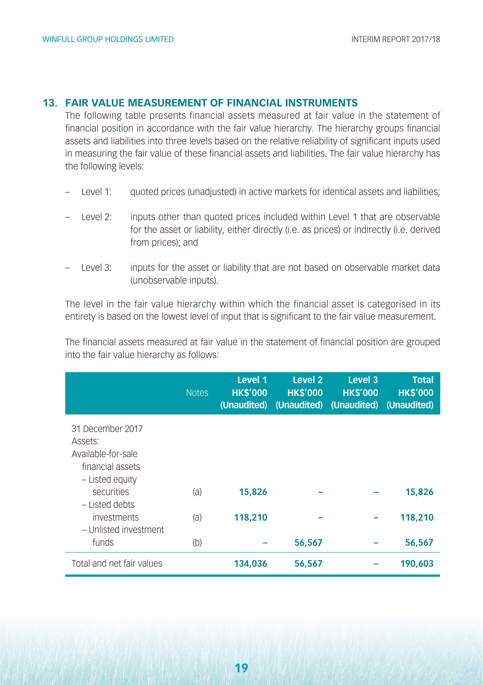#### **13. FAIR VALUE MEASUREMENT OF FINANCIAL INSTRUMENTS**

The following table presents financial assets measured at fair value in the statement of financial position in accordance with the fair value hierarchy. The hierarchy groups financial assets and liabilities into three levels based on the relative reliability of significant inputs used in measuring the fair value of these financial assets and liabilities. The fair value hierarchy has the following levels:

- Level 1: quoted prices (unadjusted) in active markets for identical assets and liabilities;
- Level 2: inputs other than quoted prices included within Level 1 that are observable for the asset or liability, either directly (i.e. as prices) or indirectly (i.e. derived from prices); and
- Level 3: inputs for the asset or liability that are not based on observable market data (unobservable inputs).

The level in the fair value hierarchy within which the financial asset is categorised in its entirety is based on the lowest level of input that is significant to the fair value measurement.

The financial assets measured at fair value in the statement of financial position are grouped into the fair value hierarchy as follows:

|                                                                                          | <b>Notes</b> | Level 1<br><b>HK\$'000</b><br>(Unaudited) | Level <sub>2</sub><br><b>HK\$'000</b><br>(Unaudited) | Level 3<br><b>HK\$'000</b><br>(Unaudited) | <b>Total</b><br><b>HK\$'000</b><br>(Unaudited) |
|------------------------------------------------------------------------------------------|--------------|-------------------------------------------|------------------------------------------------------|-------------------------------------------|------------------------------------------------|
| 31 December 2017<br>Assets:<br>Available-for-sale<br>financial assets<br>- Listed equity |              |                                           |                                                      |                                           |                                                |
| securities<br>- Listed debts                                                             | (a)          | 15,826                                    |                                                      |                                           | 15,826                                         |
| investments<br>- Unlisted investment                                                     | (a)          | 118,210                                   |                                                      |                                           | 118,210                                        |
| funds                                                                                    | (b)          |                                           | 56,567                                               |                                           | 56,567                                         |
| Total and net fair values                                                                |              | 134,036                                   | 56,567                                               |                                           | 190,603                                        |

**19**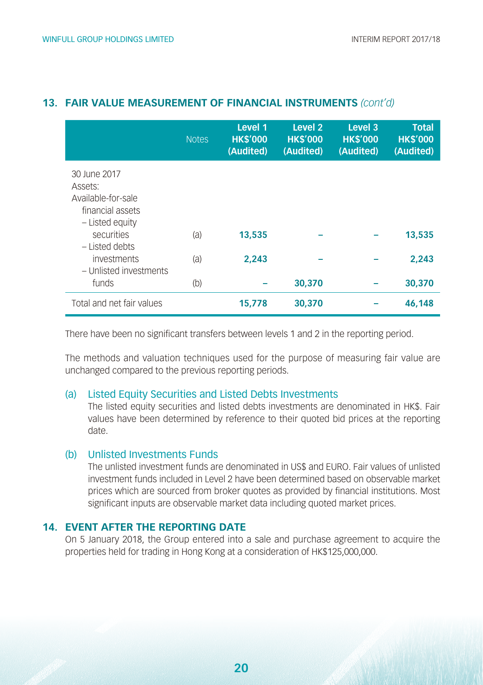|                                                                                      | <b>Notes</b> | Level 1<br><b>HK\$'000</b><br>(Audited) | Level <sub>2</sub><br><b>HK\$'000</b><br>(Audited) | Level 3<br><b>HK\$'000</b><br>(Audited) | <b>Total</b><br><b>HK\$'000</b><br>(Audited) |
|--------------------------------------------------------------------------------------|--------------|-----------------------------------------|----------------------------------------------------|-----------------------------------------|----------------------------------------------|
| 30 June 2017<br>Assets:<br>Available-for-sale<br>financial assets<br>- Listed equity |              |                                         |                                                    |                                         |                                              |
| securities<br>- Listed debts                                                         | (a)          | 13,535                                  |                                                    |                                         | 13,535                                       |
| investments<br>- Unlisted investments                                                | (a)          | 2.243                                   |                                                    |                                         | 2.243                                        |
| funds                                                                                | (b)          |                                         | 30,370                                             |                                         | 30,370                                       |
| Total and net fair values                                                            |              | 15,778                                  | 30,370                                             |                                         | 46,148                                       |

#### **13. FAIR VALUE MEASUREMENT OF FINANCIAL INSTRUMENTS** *(cont'd)*

There have been no significant transfers between levels 1 and 2 in the reporting period.

The methods and valuation techniques used for the purpose of measuring fair value are unchanged compared to the previous reporting periods.

#### (a) Listed Equity Securities and Listed Debts Investments

The listed equity securities and listed debts investments are denominated in HK\$. Fair values have been determined by reference to their quoted bid prices at the reporting date.

#### (b) Unlisted Investments Funds

The unlisted investment funds are denominated in US\$ and EURO. Fair values of unlisted investment funds included in Level 2 have been determined based on observable market prices which are sourced from broker quotes as provided by financial institutions. Most significant inputs are observable market data including quoted market prices.

#### **14. EVENT AFTER THE REPORTING DATE**

On 5 January 2018, the Group entered into a sale and purchase agreement to acquire the properties held for trading in Hong Kong at a consideration of HK\$125,000,000.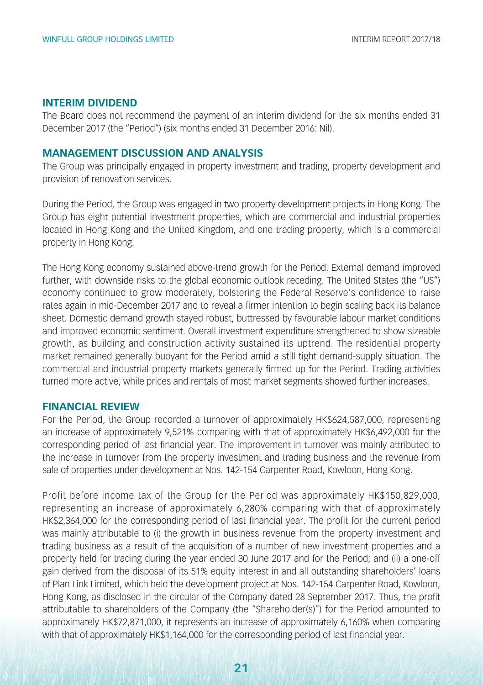#### **INTERIM DIVIDEND**

The Board does not recommend the payment of an interim dividend for the six months ended 31 December 2017 (the "Period") (six months ended 31 December 2016: Nil).

#### **MANAGEMENT DISCUSSION AND ANALYSIS**

The Group was principally engaged in property investment and trading, property development and provision of renovation services.

During the Period, the Group was engaged in two property development projects in Hong Kong. The Group has eight potential investment properties, which are commercial and industrial properties located in Hong Kong and the United Kingdom, and one trading property, which is a commercial property in Hong Kong.

The Hong Kong economy sustained above-trend growth for the Period. External demand improved further, with downside risks to the global economic outlook receding. The United States (the "US") economy continued to grow moderately, bolstering the Federal Reserve's confidence to raise rates again in mid-December 2017 and to reveal a firmer intention to begin scaling back its balance sheet. Domestic demand growth stayed robust, buttressed by favourable labour market conditions and improved economic sentiment. Overall investment expenditure strengthened to show sizeable growth, as building and construction activity sustained its uptrend. The residential property market remained generally buoyant for the Period amid a still tight demand-supply situation. The commercial and industrial property markets generally firmed up for the Period. Trading activities turned more active, while prices and rentals of most market segments showed further increases.

#### **FINANCIAL REVIEW**

For the Period, the Group recorded a turnover of approximately HK\$624,587,000, representing an increase of approximately 9,521% comparing with that of approximately HK\$6,492,000 for the corresponding period of last financial year. The improvement in turnover was mainly attributed to the increase in turnover from the property investment and trading business and the revenue from sale of properties under development at Nos. 142-154 Carpenter Road, Kowloon, Hong Kong.

Profit before income tax of the Group for the Period was approximately HK\$150,829,000, representing an increase of approximately 6,280% comparing with that of approximately HK\$2,364,000 for the corresponding period of last financial year. The profit for the current period was mainly attributable to (i) the growth in business revenue from the property investment and trading business as a result of the acquisition of a number of new investment properties and a property held for trading during the year ended 30 June 2017 and for the Period; and (ii) a one-off gain derived from the disposal of its 51% equity interest in and all outstanding shareholders' loans of Plan Link Limited, which held the development project at Nos. 142-154 Carpenter Road, Kowloon, Hong Kong, as disclosed in the circular of the Company dated 28 September 2017. Thus, the profit attributable to shareholders of the Company (the "Shareholder(s)") for the Period amounted to approximately HK\$72,871,000, it represents an increase of approximately 6,160% when comparing with that of approximately HK\$1,164,000 for the corresponding period of last financial year.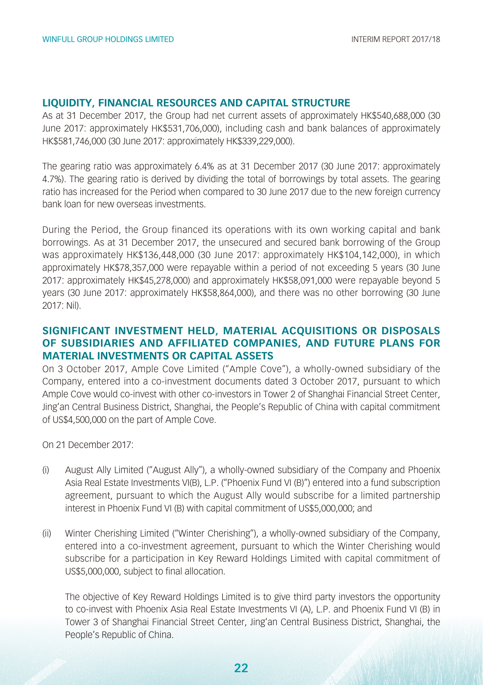#### **LIQUIDITY, FINANCIAL RESOURCES AND CAPITAL STRUCTURE**

As at 31 December 2017, the Group had net current assets of approximately HK\$540,688,000 (30 June 2017: approximately HK\$531,706,000), including cash and bank balances of approximately HK\$581,746,000 (30 June 2017: approximately HK\$339,229,000).

The gearing ratio was approximately 6.4% as at 31 December 2017 (30 June 2017: approximately 4.7%). The gearing ratio is derived by dividing the total of borrowings by total assets. The gearing ratio has increased for the Period when compared to 30 June 2017 due to the new foreign currency bank loan for new overseas investments.

During the Period, the Group financed its operations with its own working capital and bank borrowings. As at 31 December 2017, the unsecured and secured bank borrowing of the Group was approximately HK\$136,448,000 (30 June 2017: approximately HK\$104,142,000), in which approximately HK\$78,357,000 were repayable within a period of not exceeding 5 years (30 June 2017: approximately HK\$45,278,000) and approximately HK\$58,091,000 were repayable beyond 5 years (30 June 2017: approximately HK\$58,864,000), and there was no other borrowing (30 June 2017: Nil).

#### **SIGNIFICANT INVESTMENT HELD, MATERIAL ACQUISITIONS OR DISPOSALS OF SUBSIDIARIES AND AFFILIATED COMPANIES, AND FUTURE PLANS FOR MATERIAL INVESTMENTS OR CAPITAL ASSETS**

On 3 October 2017, Ample Cove Limited ("Ample Cove"), a wholly-owned subsidiary of the Company, entered into a co-investment documents dated 3 October 2017, pursuant to which Ample Cove would co-invest with other co-investors in Tower 2 of Shanghai Financial Street Center, Jing'an Central Business District, Shanghai, the People's Republic of China with capital commitment of US\$4,500,000 on the part of Ample Cove.

On 21 December 2017:

- (i) August Ally Limited ("August Ally"), a wholly-owned subsidiary of the Company and Phoenix Asia Real Estate Investments VI(B), L.P. ("Phoenix Fund VI (B)") entered into a fund subscription agreement, pursuant to which the August Ally would subscribe for a limited partnership interest in Phoenix Fund VI (B) with capital commitment of US\$5,000,000; and
- (ii) Winter Cherishing Limited ("Winter Cherishing"), a wholly-owned subsidiary of the Company, entered into a co-investment agreement, pursuant to which the Winter Cherishing would subscribe for a participation in Key Reward Holdings Limited with capital commitment of US\$5,000,000, subject to final allocation.

The objective of Key Reward Holdings Limited is to give third party investors the opportunity to co-invest with Phoenix Asia Real Estate Investments VI (A), L.P. and Phoenix Fund VI (B) in Tower 3 of Shanghai Financial Street Center, Jing'an Central Business District, Shanghai, the People's Republic of China.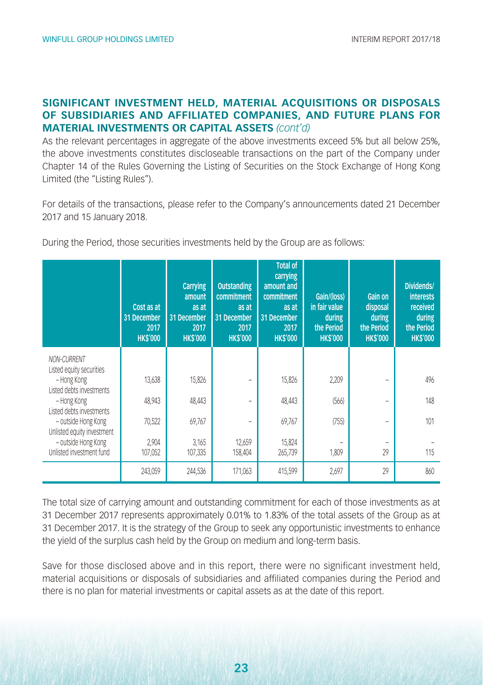#### **SIGNIFICANT INVESTMENT HELD, MATERIAL ACQUISITIONS OR DISPOSALS OF SUBSIDIARIES AND AFFILIATED COMPANIES, AND FUTURE PLANS FOR MATERIAL INVESTMENTS OR CAPITAL ASSETS** *(cont'd)*

As the relevant percentages in aggregate of the above investments exceed 5% but all below 25%, the above investments constitutes discloseable transactions on the part of the Company under Chapter 14 of the Rules Governing the Listing of Securities on the Stock Exchange of Hong Kong Limited (the "Listing Rules").

For details of the transactions, please refer to the Company's announcements dated 21 December 2017 and 15 January 2018.

| During the Period, those securities investments held by the Group are as follows: |  |  |  |  |  |
|-----------------------------------------------------------------------------------|--|--|--|--|--|
|-----------------------------------------------------------------------------------|--|--|--|--|--|

|                                                   | Cost as at<br>31 December<br>2017<br><b>HKS'000</b> | <b>Carrying</b><br>amount<br>as at<br>31 December<br>2017<br><b>HKS'000</b> | <b>Outstanding</b><br>commitment<br>as at<br>31 December<br>2017<br><b>HKS'000</b> | <b>Total of</b><br>carrying<br>amount and<br>commitment<br>as at<br>31 December<br>2017<br><b>HKS'000</b> | Gain/(loss)<br>in fair value<br>during<br>the Period<br><b>HKS'000</b> | Gain on<br>disposal<br>during<br>the Period<br><b>HKS'000</b> | Dividends/<br><b>interests</b><br>received<br>during<br>the Period<br><b>HKS'000</b> |
|---------------------------------------------------|-----------------------------------------------------|-----------------------------------------------------------------------------|------------------------------------------------------------------------------------|-----------------------------------------------------------------------------------------------------------|------------------------------------------------------------------------|---------------------------------------------------------------|--------------------------------------------------------------------------------------|
| NON-CURRENT<br>Listed equity securities           |                                                     |                                                                             |                                                                                    |                                                                                                           |                                                                        |                                                               |                                                                                      |
| - Hong Kong<br>Listed debts investments           | 13,638                                              | 15,826                                                                      |                                                                                    | 15,826                                                                                                    | 2,209                                                                  |                                                               | 496                                                                                  |
| - Hong Kong<br>Listed debts investments           | 48,943                                              | 48,443                                                                      |                                                                                    | 48,443                                                                                                    | (566)                                                                  |                                                               | 148                                                                                  |
| - outside Hong Kong<br>Unlisted equity investment | 70,522                                              | 69,767                                                                      |                                                                                    | 69,767                                                                                                    | (755)                                                                  |                                                               | 101                                                                                  |
| - outside Hong Kong<br>Unlisted investment fund   | 2,904<br>107,052                                    | 3.165<br>107,335                                                            | 12,659<br>158,404                                                                  | 15,824<br>265,739                                                                                         | 1,809                                                                  | 29                                                            | 115                                                                                  |
|                                                   | 243,059                                             | 244,536                                                                     | 171,063                                                                            | 415,599                                                                                                   | 2,697                                                                  | 29                                                            | 860                                                                                  |

The total size of carrying amount and outstanding commitment for each of those investments as at 31 December 2017 represents approximately 0.01% to 1.83% of the total assets of the Group as at 31 December 2017. It is the strategy of the Group to seek any opportunistic investments to enhance the yield of the surplus cash held by the Group on medium and long-term basis.

Save for those disclosed above and in this report, there were no significant investment held, material acquisitions or disposals of subsidiaries and affiliated companies during the Period and there is no plan for material investments or capital assets as at the date of this report.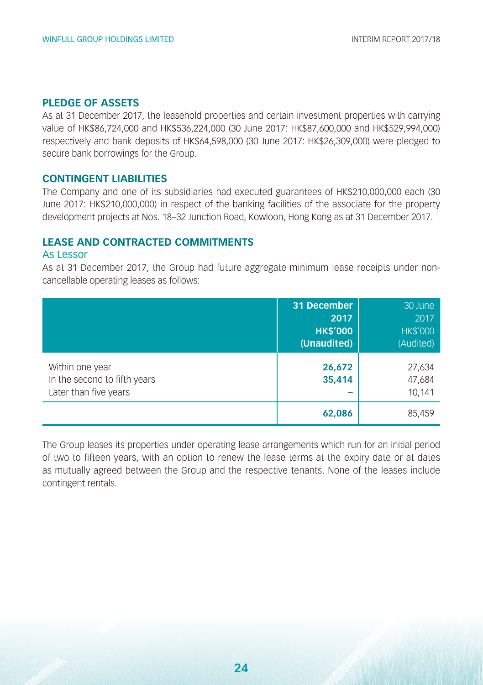#### **PLEDGE OF ASSETS**

As at 31 December 2017, the leasehold properties and certain investment properties with carrying value of HK\$86,724,000 and HK\$536,224,000 (30 June 2017: HK\$87,600,000 and HK\$529,994,000) respectively and bank deposits of HK\$64,598,000 (30 June 2017: HK\$26,309,000) were pledged to secure bank borrowings for the Group.

#### **CONTINGENT LIABILITIES**

The Company and one of its subsidiaries had executed guarantees of HK\$210,000,000 each (30 June 2017: HK\$210,000,000) in respect of the banking facilities of the associate for the property development projects at Nos. 18–32 Junction Road, Kowloon, Hong Kong as at 31 December 2017.

#### **LEASE AND CONTRACTED COMMITMENTS**

#### As Lessor

As at 31 December 2017, the Group had future aggregate minimum lease receipts under noncancellable operating leases as follows:

|                                                                          | 31 December<br>2017<br><b>HK\$'000</b><br>(Unaudited) | 30 June<br>2017<br><b>HK\$'000</b><br>(Audited) |
|--------------------------------------------------------------------------|-------------------------------------------------------|-------------------------------------------------|
| Within one year<br>In the second to fifth years<br>Later than five years | 26,672<br>35,414                                      | 27,634<br>47,684<br>10,141                      |
|                                                                          | 62,086                                                | 85,459                                          |

The Group leases its properties under operating lease arrangements which run for an initial period of two to fifteen years, with an option to renew the lease terms at the expiry date or at dates as mutually agreed between the Group and the respective tenants. None of the leases include contingent rentals.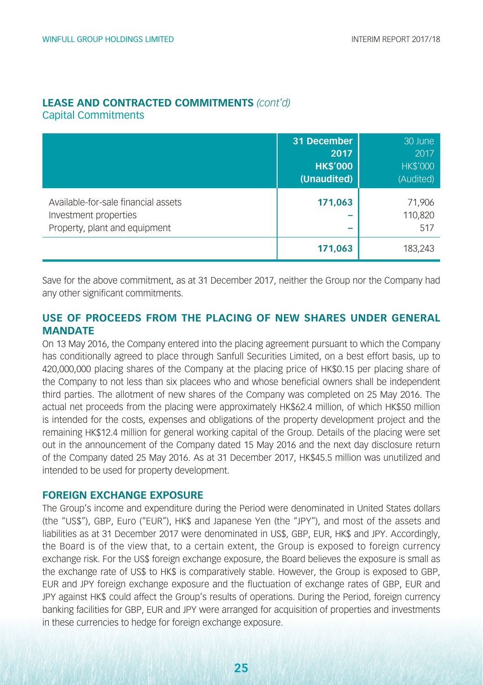#### **LEASE AND CONTRACTED COMMITMENTS** *(cont'd)* Capital Commitments

|                                                                                               | 31 December<br>2017<br><b>HK\$'000</b><br>(Unaudited) | 30 June<br>2017<br><b>HK\$'000</b><br>(Audited) |
|-----------------------------------------------------------------------------------------------|-------------------------------------------------------|-------------------------------------------------|
| Available-for-sale financial assets<br>Investment properties<br>Property, plant and equipment | 171,063<br>−                                          | 71,906<br>110,820<br>517                        |
|                                                                                               | 171,063                                               | 183.243                                         |

Save for the above commitment, as at 31 December 2017, neither the Group nor the Company had any other significant commitments.

#### **USE OF PROCEEDS FROM THE PLACING OF NEW SHARES UNDER GENERAL MANDATE**

On 13 May 2016, the Company entered into the placing agreement pursuant to which the Company has conditionally agreed to place through Sanfull Securities Limited, on a best effort basis, up to 420,000,000 placing shares of the Company at the placing price of HK\$0.15 per placing share of the Company to not less than six placees who and whose beneficial owners shall be independent third parties. The allotment of new shares of the Company was completed on 25 May 2016. The actual net proceeds from the placing were approximately HK\$62.4 million, of which HK\$50 million is intended for the costs, expenses and obligations of the property development project and the remaining HK\$12.4 million for general working capital of the Group. Details of the placing were set out in the announcement of the Company dated 15 May 2016 and the next day disclosure return of the Company dated 25 May 2016. As at 31 December 2017, HK\$45.5 million was unutilized and intended to be used for property development.

#### **FOREIGN EXCHANGE EXPOSURE**

The Group's income and expenditure during the Period were denominated in United States dollars (the "US\$"), GBP, Euro ("EUR"), HK\$ and Japanese Yen (the "JPY"), and most of the assets and liabilities as at 31 December 2017 were denominated in US\$, GBP, EUR, HK\$ and JPY. Accordingly, the Board is of the view that, to a certain extent, the Group is exposed to foreign currency exchange risk. For the US\$ foreign exchange exposure, the Board believes the exposure is small as the exchange rate of US\$ to HK\$ is comparatively stable. However, the Group is exposed to GBP, EUR and JPY foreign exchange exposure and the fluctuation of exchange rates of GBP, EUR and JPY against HK\$ could affect the Group's results of operations. During the Period, foreign currency banking facilities for GBP, EUR and JPY were arranged for acquisition of properties and investments in these currencies to hedge for foreign exchange exposure.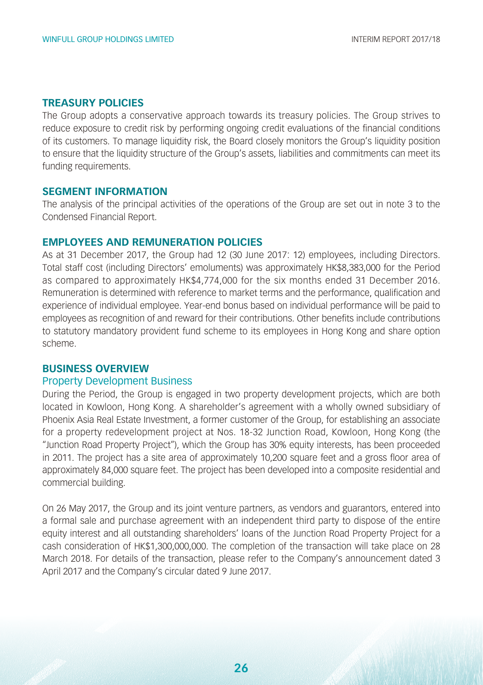#### **TREASURY POLICIES**

The Group adopts a conservative approach towards its treasury policies. The Group strives to reduce exposure to credit risk by performing ongoing credit evaluations of the financial conditions of its customers. To manage liquidity risk, the Board closely monitors the Group's liquidity position to ensure that the liquidity structure of the Group's assets, liabilities and commitments can meet its funding requirements.

#### **SEGMENT INFORMATION**

The analysis of the principal activities of the operations of the Group are set out in note 3 to the Condensed Financial Report.

#### **EMPLOYEES AND REMUNERATION POLICIES**

As at 31 December 2017, the Group had 12 (30 June 2017: 12) employees, including Directors. Total staff cost (including Directors' emoluments) was approximately HK\$8,383,000 for the Period as compared to approximately HK\$4,774,000 for the six months ended 31 December 2016. Remuneration is determined with reference to market terms and the performance, qualification and experience of individual employee. Year-end bonus based on individual performance will be paid to employees as recognition of and reward for their contributions. Other benefits include contributions to statutory mandatory provident fund scheme to its employees in Hong Kong and share option scheme.

#### **BUSINESS OVERVIEW**

#### Property Development Business

During the Period, the Group is engaged in two property development projects, which are both located in Kowloon, Hong Kong. A shareholder's agreement with a wholly owned subsidiary of Phoenix Asia Real Estate Investment, a former customer of the Group, for establishing an associate for a property redevelopment project at Nos. 18-32 Junction Road, Kowloon, Hong Kong (the "Junction Road Property Project"), which the Group has 30% equity interests, has been proceeded in 2011. The project has a site area of approximately 10,200 square feet and a gross floor area of approximately 84,000 square feet. The project has been developed into a composite residential and commercial building.

On 26 May 2017, the Group and its joint venture partners, as vendors and guarantors, entered into a formal sale and purchase agreement with an independent third party to dispose of the entire equity interest and all outstanding shareholders' loans of the Junction Road Property Project for a cash consideration of HK\$1,300,000,000. The completion of the transaction will take place on 28 March 2018. For details of the transaction, please refer to the Company's announcement dated 3 April 2017 and the Company's circular dated 9 June 2017.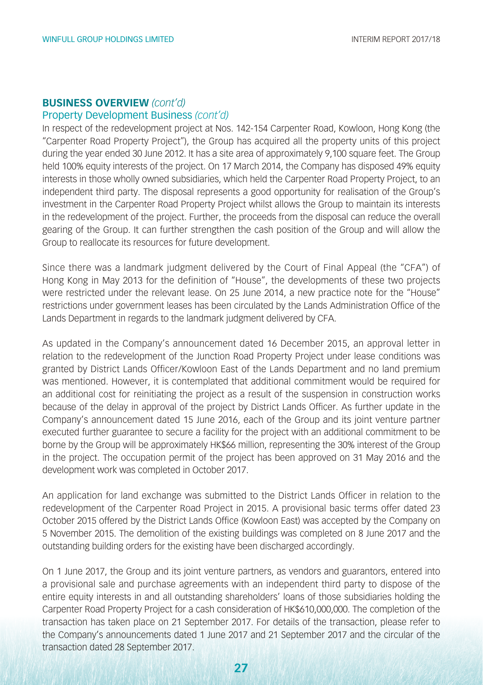#### Property Development Business *(cont'd)*

In respect of the redevelopment project at Nos. 142-154 Carpenter Road, Kowloon, Hong Kong (the "Carpenter Road Property Project"), the Group has acquired all the property units of this project during the year ended 30 June 2012. It has a site area of approximately 9,100 square feet. The Group held 100% equity interests of the project. On 17 March 2014, the Company has disposed 49% equity interests in those wholly owned subsidiaries, which held the Carpenter Road Property Project, to an independent third party. The disposal represents a good opportunity for realisation of the Group's investment in the Carpenter Road Property Project whilst allows the Group to maintain its interests in the redevelopment of the project. Further, the proceeds from the disposal can reduce the overall gearing of the Group. It can further strengthen the cash position of the Group and will allow the Group to reallocate its resources for future development.

Since there was a landmark judgment delivered by the Court of Final Appeal (the "CFA") of Hong Kong in May 2013 for the definition of "House", the developments of these two projects were restricted under the relevant lease. On 25 June 2014, a new practice note for the "House" restrictions under government leases has been circulated by the Lands Administration Office of the Lands Department in regards to the landmark judgment delivered by CFA.

As updated in the Company's announcement dated 16 December 2015, an approval letter in relation to the redevelopment of the Junction Road Property Project under lease conditions was granted by District Lands Officer/Kowloon East of the Lands Department and no land premium was mentioned. However, it is contemplated that additional commitment would be required for an additional cost for reinitiating the project as a result of the suspension in construction works because of the delay in approval of the project by District Lands Officer. As further update in the Company's announcement dated 15 June 2016, each of the Group and its joint venture partner executed further guarantee to secure a facility for the project with an additional commitment to be borne by the Group will be approximately HK\$66 million, representing the 30% interest of the Group in the project. The occupation permit of the project has been approved on 31 May 2016 and the development work was completed in October 2017.

An application for land exchange was submitted to the District Lands Officer in relation to the redevelopment of the Carpenter Road Project in 2015. A provisional basic terms offer dated 23 October 2015 offered by the District Lands Office (Kowloon East) was accepted by the Company on 5 November 2015. The demolition of the existing buildings was completed on 8 June 2017 and the outstanding building orders for the existing have been discharged accordingly.

On 1 June 2017, the Group and its joint venture partners, as vendors and guarantors, entered into a provisional sale and purchase agreements with an independent third party to dispose of the entire equity interests in and all outstanding shareholders' loans of those subsidiaries holding the Carpenter Road Property Project for a cash consideration of HK\$610,000,000. The completion of the transaction has taken place on 21 September 2017. For details of the transaction, please refer to the Company's announcements dated 1 June 2017 and 21 September 2017 and the circular of the transaction dated 28 September 2017.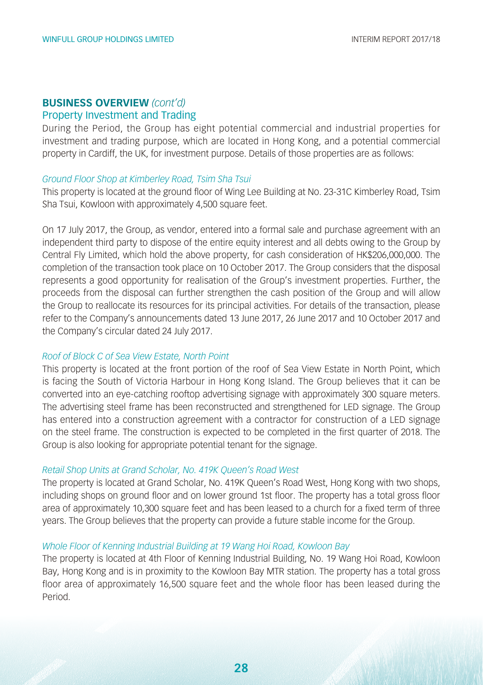#### Property Investment and Trading

During the Period, the Group has eight potential commercial and industrial properties for investment and trading purpose, which are located in Hong Kong, and a potential commercial property in Cardiff, the UK, for investment purpose. Details of those properties are as follows:

#### *Ground Floor Shop at Kimberley Road, Tsim Sha Tsui*

This property is located at the ground floor of Wing Lee Building at No. 23-31C Kimberley Road, Tsim Sha Tsui, Kowloon with approximately 4,500 square feet.

On 17 July 2017, the Group, as vendor, entered into a formal sale and purchase agreement with an independent third party to dispose of the entire equity interest and all debts owing to the Group by Central Fly Limited, which hold the above property, for cash consideration of HK\$206,000,000. The completion of the transaction took place on 10 October 2017. The Group considers that the disposal represents a good opportunity for realisation of the Group's investment properties. Further, the proceeds from the disposal can further strengthen the cash position of the Group and will allow the Group to reallocate its resources for its principal activities. For details of the transaction, please refer to the Company's announcements dated 13 June 2017, 26 June 2017 and 10 October 2017 and the Company's circular dated 24 July 2017.

#### *Roof of Block C of Sea View Estate, North Point*

This property is located at the front portion of the roof of Sea View Estate in North Point, which is facing the South of Victoria Harbour in Hong Kong Island. The Group believes that it can be converted into an eye-catching rooftop advertising signage with approximately 300 square meters. The advertising steel frame has been reconstructed and strengthened for LED signage. The Group has entered into a construction agreement with a contractor for construction of a LED signage on the steel frame. The construction is expected to be completed in the first quarter of 2018. The Group is also looking for appropriate potential tenant for the signage.

#### *Retail Shop Units at Grand Scholar, No. 419K Queen's Road West*

The property is located at Grand Scholar, No. 419K Queen's Road West, Hong Kong with two shops, including shops on ground floor and on lower ground 1st floor. The property has a total gross floor area of approximately 10,300 square feet and has been leased to a church for a fixed term of three years. The Group believes that the property can provide a future stable income for the Group.

#### *Whole Floor of Kenning Industrial Building at 19 Wang Hoi Road, Kowloon Bay*

The property is located at 4th Floor of Kenning Industrial Building, No. 19 Wang Hoi Road, Kowloon Bay, Hong Kong and is in proximity to the Kowloon Bay MTR station. The property has a total gross floor area of approximately 16,500 square feet and the whole floor has been leased during the Period.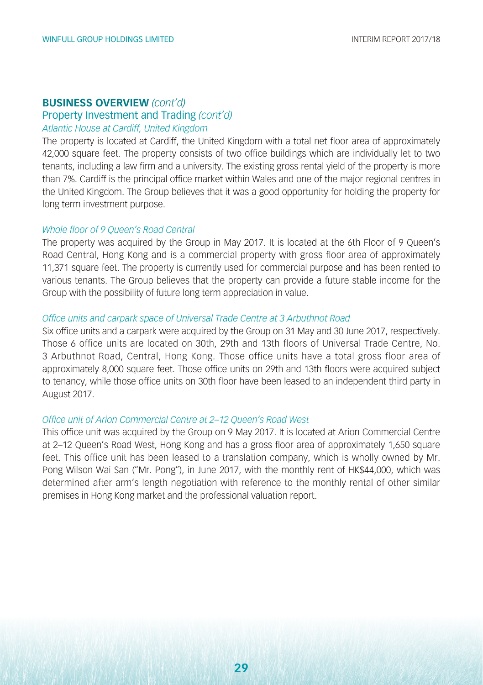#### Property Investment and Trading *(cont'd)*

#### *Atlantic House at Cardiff, United Kingdom*

The property is located at Cardiff, the United Kingdom with a total net floor area of approximately 42,000 square feet. The property consists of two office buildings which are individually let to two tenants, including a law firm and a university. The existing gross rental yield of the property is more than 7%. Cardiff is the principal office market within Wales and one of the major regional centres in the United Kingdom. The Group believes that it was a good opportunity for holding the property for long term investment purpose.

#### *Whole floor of 9 Queen's Road Central*

The property was acquired by the Group in May 2017. It is located at the 6th Floor of 9 Queen's Road Central, Hong Kong and is a commercial property with gross floor area of approximately 11,371 square feet. The property is currently used for commercial purpose and has been rented to various tenants. The Group believes that the property can provide a future stable income for the Group with the possibility of future long term appreciation in value.

#### *Office units and carpark space of Universal Trade Centre at 3 Arbuthnot Road*

Six office units and a carpark were acquired by the Group on 31 May and 30 June 2017, respectively. Those 6 office units are located on 30th, 29th and 13th floors of Universal Trade Centre, No. 3 Arbuthnot Road, Central, Hong Kong. Those office units have a total gross floor area of approximately 8,000 square feet. Those office units on 29th and 13th floors were acquired subject to tenancy, while those office units on 30th floor have been leased to an independent third party in August 2017.

#### *Office unit of Arion Commercial Centre at 2–12 Queen's Road West*

This office unit was acquired by the Group on 9 May 2017. It is located at Arion Commercial Centre at 2–12 Queen's Road West, Hong Kong and has a gross floor area of approximately 1,650 square feet. This office unit has been leased to a translation company, which is wholly owned by Mr. Pong Wilson Wai San ("Mr. Pong"), in June 2017, with the monthly rent of HK\$44,000, which was determined after arm's length negotiation with reference to the monthly rental of other similar premises in Hong Kong market and the professional valuation report.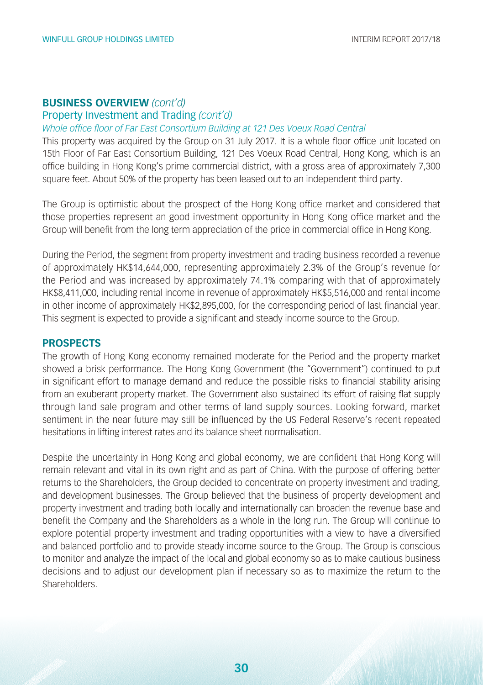#### Property Investment and Trading *(cont'd)*

#### *Whole office floor of Far East Consortium Building at 121 Des Voeux Road Central*

This property was acquired by the Group on 31 July 2017. It is a whole floor office unit located on 15th Floor of Far East Consortium Building, 121 Des Voeux Road Central, Hong Kong, which is an office building in Hong Kong's prime commercial district, with a gross area of approximately 7,300 square feet. About 50% of the property has been leased out to an independent third party.

The Group is optimistic about the prospect of the Hong Kong office market and considered that those properties represent an good investment opportunity in Hong Kong office market and the Group will benefit from the long term appreciation of the price in commercial office in Hong Kong.

During the Period, the segment from property investment and trading business recorded a revenue of approximately HK\$14,644,000, representing approximately 2.3% of the Group's revenue for the Period and was increased by approximately 74.1% comparing with that of approximately HK\$8,411,000, including rental income in revenue of approximately HK\$5,516,000 and rental income in other income of approximately HK\$2,895,000, for the corresponding period of last financial year. This segment is expected to provide a significant and steady income source to the Group.

#### **PROSPECTS**

The growth of Hong Kong economy remained moderate for the Period and the property market showed a brisk performance. The Hong Kong Government (the "Government") continued to put in significant effort to manage demand and reduce the possible risks to financial stability arising from an exuberant property market. The Government also sustained its effort of raising flat supply through land sale program and other terms of land supply sources. Looking forward, market sentiment in the near future may still be influenced by the US Federal Reserve's recent repeated hesitations in lifting interest rates and its balance sheet normalisation.

Despite the uncertainty in Hong Kong and global economy, we are confident that Hong Kong will remain relevant and vital in its own right and as part of China. With the purpose of offering better returns to the Shareholders, the Group decided to concentrate on property investment and trading, and development businesses. The Group believed that the business of property development and property investment and trading both locally and internationally can broaden the revenue base and benefit the Company and the Shareholders as a whole in the long run. The Group will continue to explore potential property investment and trading opportunities with a view to have a diversified and balanced portfolio and to provide steady income source to the Group. The Group is conscious to monitor and analyze the impact of the local and global economy so as to make cautious business decisions and to adjust our development plan if necessary so as to maximize the return to the **Shareholders**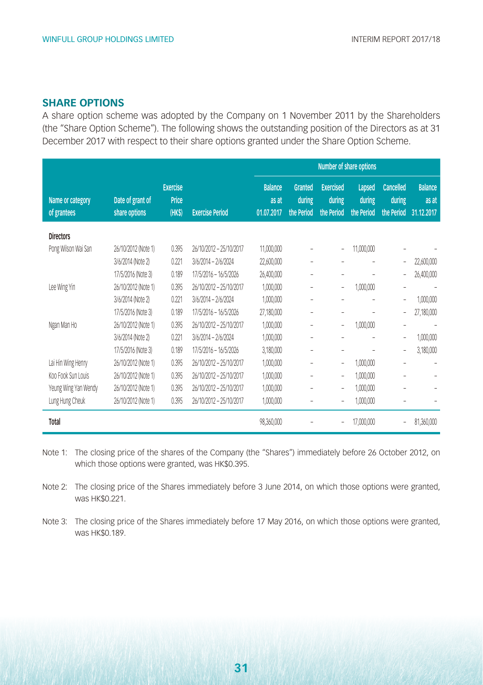#### **SHARE OPTIONS**

A share option scheme was adopted by the Company on 1 November 2011 by the Shareholders (the "Share Option Scheme"). The following shows the outstanding position of the Directors as at 31 December 2017 with respect to their share options granted under the Share Option Scheme.

|                                 |                                   |                                    |                         | Number of share options               |                                        |                                          |                                |                                          |                                       |
|---------------------------------|-----------------------------------|------------------------------------|-------------------------|---------------------------------------|----------------------------------------|------------------------------------------|--------------------------------|------------------------------------------|---------------------------------------|
| Name or category<br>of grantees | Date of grant of<br>share options | <b>Exercise</b><br>Price<br>(HK\$) | <b>Exercise Period</b>  | <b>Balance</b><br>as at<br>01.07.2017 | <b>Granted</b><br>during<br>the Period | <b>Exercised</b><br>during<br>the Period | Lapsed<br>during<br>the Period | <b>Cancelled</b><br>during<br>the Period | <b>Balance</b><br>as at<br>31.12.2017 |
| <b>Directors</b>                |                                   |                                    |                         |                                       |                                        |                                          |                                |                                          |                                       |
| Pong Wilson Wai San             | 26/10/2012 (Note 1)               | 0.395                              | 26/10/2012 - 25/10/2017 | 11,000,000                            |                                        | $\overline{\phantom{a}}$                 | 11,000,000                     |                                          |                                       |
|                                 | 3/6/2014 (Note 2)                 | 0.221                              | 3/6/2014 - 2/6/2024     | 22,600,000                            | ÷                                      |                                          |                                |                                          | 22,600,000                            |
|                                 | 17/5/2016 (Note 3)                | 0.189                              | 17/5/2016 - 16/5/2026   | 26,400,000                            | $\overline{\phantom{a}}$               | ٠                                        | ۰                              | $\overline{\phantom{0}}$                 | 26,400,000                            |
| Lee Wing Yin                    | 26/10/2012 (Note 1)               | 0.395                              | 26/10/2012 - 25/10/2017 | 1,000,000                             | ۰                                      | $\overline{\phantom{a}}$                 | 1,000,000                      | $\overline{a}$                           |                                       |
|                                 | 3/6/2014 (Note 2)                 | 0.221                              | 3/6/2014 - 2/6/2024     | 1,000,000                             | $\overline{\phantom{a}}$               | ۰                                        | ٠                              | $\overline{a}$                           | 1,000,000                             |
|                                 | 17/5/2016 (Note 3)                | 0.189                              | 17/5/2016 - 16/5/2026   | 27,180,000                            | ÷                                      |                                          |                                | $\overline{\phantom{0}}$                 | 27,180,000                            |
| Ngan Man Ho                     | 26/10/2012 (Note 1)               | 0.395                              | 26/10/2012 - 25/10/2017 | 1,000,000                             | $\overline{a}$                         | $\overline{\phantom{a}}$                 | 1,000,000                      | $\overline{a}$                           |                                       |
|                                 | 3/6/2014 (Note 2)                 | 0.221                              | 3/6/2014 - 2/6/2024     | 1,000,000                             |                                        | ۰                                        |                                | $\overline{\phantom{0}}$                 | 1,000,000                             |
|                                 | 17/5/2016 (Note 3)                | 0.189                              | 17/5/2016 - 16/5/2026   | 3,180,000                             | ÷                                      | ۰                                        |                                | $\overline{a}$                           | 3,180,000                             |
| Lai Hin Wing Henry              | 26/10/2012 (Note 1)               | 0.395                              | 26/10/2012 - 25/10/2017 | 1,000,000                             | $\overline{\phantom{0}}$               | $\overline{\phantom{a}}$                 | 1,000,000                      | $\overline{a}$                           |                                       |
| Koo Fook Sun Louis              | 26/10/2012 (Note 1)               | 0.395                              | 26/10/2012 - 25/10/2017 | 1,000,000                             | ۰                                      | $\overline{\phantom{a}}$                 | 1,000,000                      |                                          |                                       |
| Yeung Wing Yan Wendy            | 26/10/2012 (Note 1)               | 0.395                              | 26/10/2012 - 25/10/2017 | 1,000,000                             | ۰                                      | $\overline{\phantom{0}}$                 | 1,000,000                      | ۰                                        |                                       |
| Lung Hung Cheuk                 | 26/10/2012 (Note 1)               | 0.395                              | 26/10/2012 - 25/10/2017 | 1,000,000                             |                                        | ٠                                        | 1,000,000                      |                                          |                                       |
| Total                           |                                   |                                    |                         | 98,360,000                            |                                        |                                          | 17,000,000                     |                                          | 81,360,000                            |

Note 1: The closing price of the shares of the Company (the "Shares") immediately before 26 October 2012, on which those options were granted, was HK\$0.395.

Note 2: The closing price of the Shares immediately before 3 June 2014, on which those options were granted, was HK\$0.221.

Note 3: The closing price of the Shares immediately before 17 May 2016, on which those options were granted, was HK\$0.189.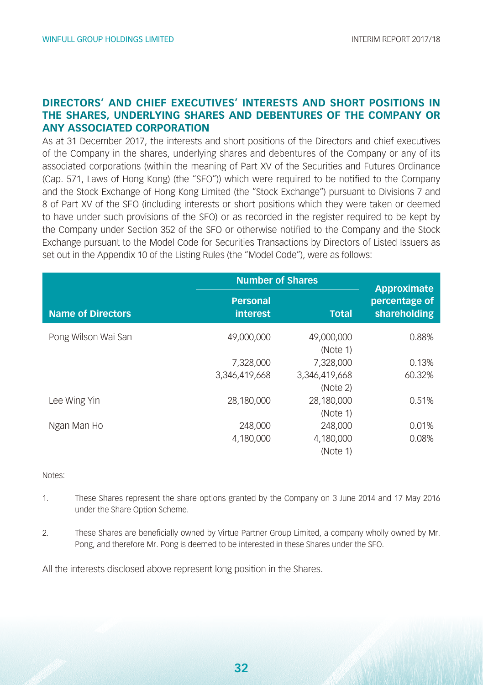#### **DIRECTORS' AND CHIEF EXECUTIVES' INTERESTS AND SHORT POSITIONS IN THE SHARES, UNDERLYING SHARES AND DEBENTURES OF THE COMPANY OR ANY ASSOCIATED CORPORATION**

As at 31 December 2017, the interests and short positions of the Directors and chief executives of the Company in the shares, underlying shares and debentures of the Company or any of its associated corporations (within the meaning of Part XV of the Securities and Futures Ordinance (Cap. 571, Laws of Hong Kong) (the "SFO")) which were required to be notified to the Company and the Stock Exchange of Hong Kong Limited (the "Stock Exchange") pursuant to Divisions 7 and 8 of Part XV of the SFO (including interests or short positions which they were taken or deemed to have under such provisions of the SFO) or as recorded in the register required to be kept by the Company under Section 352 of the SFO or otherwise notified to the Company and the Stock Exchange pursuant to the Model Code for Securities Transactions by Directors of Listed Issuers as set out in the Appendix 10 of the Listing Rules (the "Model Code"), were as follows:

|                          | <b>Number of Shares</b>     | Approximate               |                               |
|--------------------------|-----------------------------|---------------------------|-------------------------------|
| <b>Name of Directors</b> | <b>Personal</b><br>interest | <b>Total</b>              | percentage of<br>shareholding |
| Pong Wilson Wai San      | 49,000,000                  | 49,000,000<br>(Note 1)    | 0.88%                         |
|                          | 7,328,000                   | 7,328,000                 | 0.13%                         |
|                          | 3.346.419.668               | 3,346,419,668<br>(Note 2) | 60.32%                        |
| Lee Wing Yin             | 28.180.000                  | 28,180,000<br>(Note 1)    | 0.51%                         |
| Ngan Man Ho              | 248,000                     | 248,000                   | 0.01%                         |
|                          | 4.180.000                   | 4,180,000<br>(Note 1)     | 0.08%                         |

#### Notes:

- 1. These Shares represent the share options granted by the Company on 3 June 2014 and 17 May 2016 under the Share Option Scheme.
- 2. These Shares are beneficially owned by Virtue Partner Group Limited, a company wholly owned by Mr. Pong, and therefore Mr. Pong is deemed to be interested in these Shares under the SFO.

All the interests disclosed above represent long position in the Shares.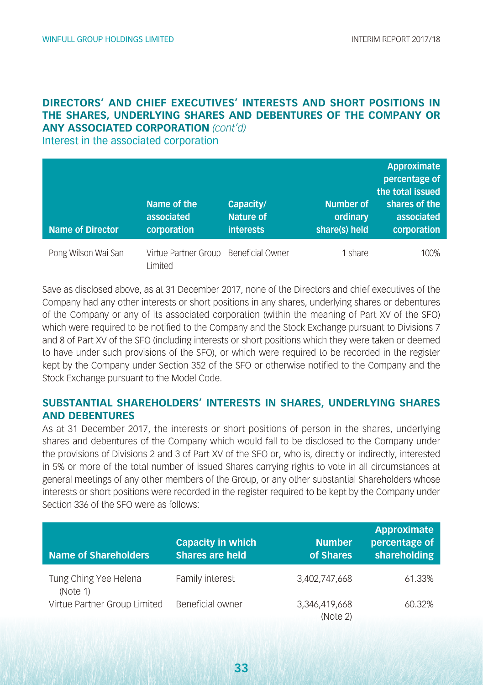#### **DIRECTORS' AND CHIEF EXECUTIVES' INTERESTS AND SHORT POSITIONS IN THE SHARES, UNDERLYING SHARES AND DEBENTURES OF THE COMPANY OR ANY ASSOCIATED CORPORATION** *(cont'd)*

Interest in the associated corporation

| <b>Name of Director</b> | Name of the<br>associated<br>corporation         | Capacity/<br><b>Nature of</b><br><b>interests</b> | <b>Number of</b><br>ordinary<br>share(s) held | Approximate<br>percentage of<br>the total issued<br>shares of the<br>associated<br>corporation |
|-------------------------|--------------------------------------------------|---------------------------------------------------|-----------------------------------------------|------------------------------------------------------------------------------------------------|
| Pong Wilson Wai San     | Virtue Partner Group Beneficial Owner<br>limited |                                                   | 1 share                                       | 100%                                                                                           |

Save as disclosed above, as at 31 December 2017, none of the Directors and chief executives of the Company had any other interests or short positions in any shares, underlying shares or debentures of the Company or any of its associated corporation (within the meaning of Part XV of the SFO) which were required to be notified to the Company and the Stock Exchange pursuant to Divisions 7 and 8 of Part XV of the SFO (including interests or short positions which they were taken or deemed to have under such provisions of the SFO), or which were required to be recorded in the register kept by the Company under Section 352 of the SFO or otherwise notified to the Company and the Stock Exchange pursuant to the Model Code.

#### **SUBSTANTIAL SHAREHOLDERS' INTERESTS IN SHARES, UNDERLYING SHARES AND DEBENTURES**

As at 31 December 2017, the interests or short positions of person in the shares, underlying shares and debentures of the Company which would fall to be disclosed to the Company under the provisions of Divisions 2 and 3 of Part XV of the SFO or, who is, directly or indirectly, interested in 5% or more of the total number of issued Shares carrying rights to vote in all circumstances at general meetings of any other members of the Group, or any other substantial Shareholders whose interests or short positions were recorded in the register required to be kept by the Company under Section 336 of the SFO were as follows:

| <b>Name of Shareholders</b>       | Capacity in which<br><b>Shares are held</b> | <b>Number</b><br>of Shares | <b>Approximate</b><br>percentage of<br>shareholding |
|-----------------------------------|---------------------------------------------|----------------------------|-----------------------------------------------------|
| Tung Ching Yee Helena<br>(Note 1) | Family interest                             | 3.402.747.668              | 61.33%                                              |
| Virtue Partner Group Limited      | Beneficial owner                            | 3.346.419.668<br>(Note 2)  | 60.32%                                              |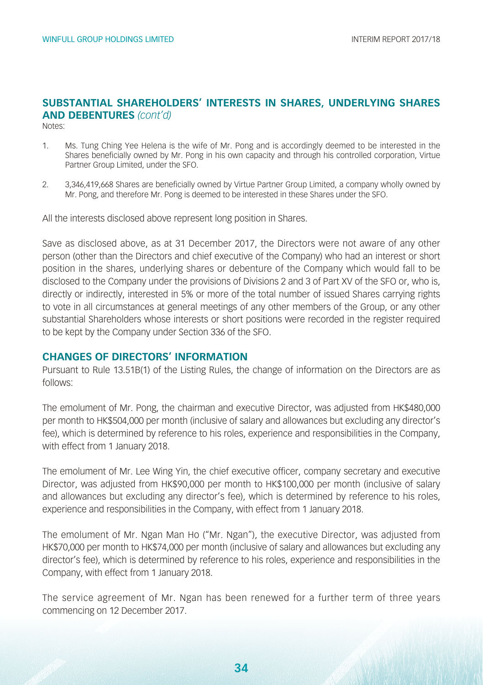#### **SUBSTANTIAL SHAREHOLDERS' INTERESTS IN SHARES, UNDERLYING SHARES AND DEBENTURES** *(cont'd)*

Notes:

- 1. Ms. Tung Ching Yee Helena is the wife of Mr. Pong and is accordingly deemed to be interested in the Shares beneficially owned by Mr. Pong in his own capacity and through his controlled corporation, Virtue Partner Group Limited, under the SFO.
- 2. 3,346,419,668 Shares are beneficially owned by Virtue Partner Group Limited, a company wholly owned by Mr. Pong, and therefore Mr. Pong is deemed to be interested in these Shares under the SFO.

All the interests disclosed above represent long position in Shares.

Save as disclosed above, as at 31 December 2017, the Directors were not aware of any other person (other than the Directors and chief executive of the Company) who had an interest or short position in the shares, underlying shares or debenture of the Company which would fall to be disclosed to the Company under the provisions of Divisions 2 and 3 of Part XV of the SFO or, who is, directly or indirectly, interested in 5% or more of the total number of issued Shares carrying rights to vote in all circumstances at general meetings of any other members of the Group, or any other substantial Shareholders whose interests or short positions were recorded in the register required to be kept by the Company under Section 336 of the SFO.

#### **CHANGES OF DIRECTORS' INFORMATION**

Pursuant to Rule 13.51B(1) of the Listing Rules, the change of information on the Directors are as follows:

The emolument of Mr. Pong, the chairman and executive Director, was adjusted from HK\$480,000 per month to HK\$504,000 per month (inclusive of salary and allowances but excluding any director's fee), which is determined by reference to his roles, experience and responsibilities in the Company, with effect from 1 January 2018.

The emolument of Mr. Lee Wing Yin, the chief executive officer, company secretary and executive Director, was adjusted from HK\$90,000 per month to HK\$100,000 per month (inclusive of salary and allowances but excluding any director's fee), which is determined by reference to his roles, experience and responsibilities in the Company, with effect from 1 January 2018.

The emolument of Mr. Ngan Man Ho ("Mr. Ngan"), the executive Director, was adjusted from HK\$70,000 per month to HK\$74,000 per month (inclusive of salary and allowances but excluding any director's fee), which is determined by reference to his roles, experience and responsibilities in the Company, with effect from 1 January 2018.

The service agreement of Mr. Ngan has been renewed for a further term of three years commencing on 12 December 2017.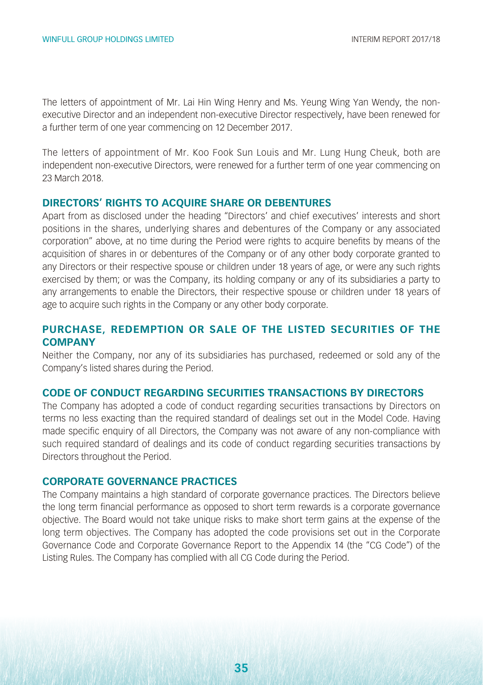The letters of appointment of Mr. Lai Hin Wing Henry and Ms. Yeung Wing Yan Wendy, the nonexecutive Director and an independent non-executive Director respectively, have been renewed for a further term of one year commencing on 12 December 2017.

The letters of appointment of Mr. Koo Fook Sun Louis and Mr. Lung Hung Cheuk, both are independent non-executive Directors, were renewed for a further term of one year commencing on 23 March 2018.

#### **DIRECTORS' RIGHTS TO ACQUIRE SHARE OR DEBENTURES**

Apart from as disclosed under the heading "Directors' and chief executives' interests and short positions in the shares, underlying shares and debentures of the Company or any associated corporation" above, at no time during the Period were rights to acquire benefits by means of the acquisition of shares in or debentures of the Company or of any other body corporate granted to any Directors or their respective spouse or children under 18 years of age, or were any such rights exercised by them; or was the Company, its holding company or any of its subsidiaries a party to any arrangements to enable the Directors, their respective spouse or children under 18 years of age to acquire such rights in the Company or any other body corporate.

#### **PURCHASE, REDEMPTION OR SALE OF THE LISTED SECURITIES OF THE COMPANY**

Neither the Company, nor any of its subsidiaries has purchased, redeemed or sold any of the Company's listed shares during the Period.

#### **CODE OF CONDUCT REGARDING SECURITIES TRANSACTIONS BY DIRECTORS**

The Company has adopted a code of conduct regarding securities transactions by Directors on terms no less exacting than the required standard of dealings set out in the Model Code. Having made specific enquiry of all Directors, the Company was not aware of any non-compliance with such required standard of dealings and its code of conduct regarding securities transactions by Directors throughout the Period.

#### **CORPORATE GOVERNANCE PRACTICES**

The Company maintains a high standard of corporate governance practices. The Directors believe the long term financial performance as opposed to short term rewards is a corporate governance objective. The Board would not take unique risks to make short term gains at the expense of the long term objectives. The Company has adopted the code provisions set out in the Corporate Governance Code and Corporate Governance Report to the Appendix 14 (the "CG Code") of the Listing Rules. The Company has complied with all CG Code during the Period.

**35**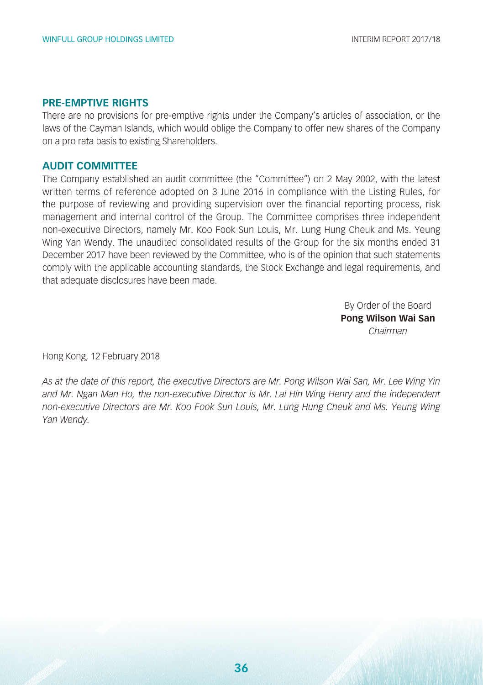#### **PRE-EMPTIVE RIGHTS**

There are no provisions for pre-emptive rights under the Company's articles of association, or the laws of the Cayman Islands, which would oblige the Company to offer new shares of the Company on a pro rata basis to existing Shareholders.

#### **AUDIT COMMITTEE**

The Company established an audit committee (the "Committee") on 2 May 2002, with the latest written terms of reference adopted on 3 June 2016 in compliance with the Listing Rules, for the purpose of reviewing and providing supervision over the financial reporting process, risk management and internal control of the Group. The Committee comprises three independent non-executive Directors, namely Mr. Koo Fook Sun Louis, Mr. Lung Hung Cheuk and Ms. Yeung Wing Yan Wendy. The unaudited consolidated results of the Group for the six months ended 31 December 2017 have been reviewed by the Committee, who is of the opinion that such statements comply with the applicable accounting standards, the Stock Exchange and legal requirements, and that adequate disclosures have been made.

> By Order of the Board **Pong Wilson Wai San** *Chairman*

Hong Kong, 12 February 2018

*As at the date of this report, the executive Directors are Mr. Pong Wilson Wai San, Mr. Lee Wing Yin and Mr. Ngan Man Ho, the non-executive Director is Mr. Lai Hin Wing Henry and the independent non-executive Directors are Mr. Koo Fook Sun Louis, Mr. Lung Hung Cheuk and Ms. Yeung Wing Yan Wendy.*